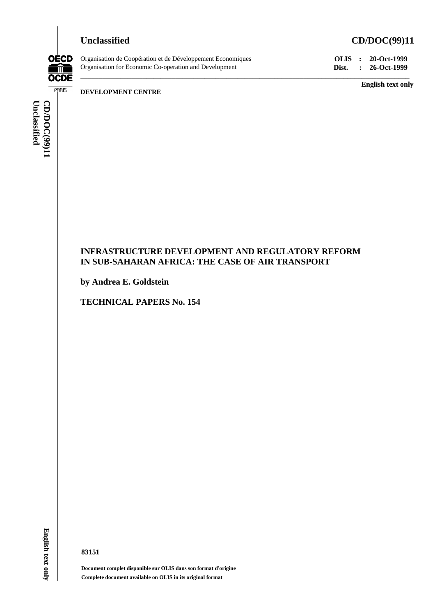

### **Unclassified CD/DOC(99)11**



Organisation de Coopération et de Développement Economiques **OLIS : 20-Oct-1999** Organisation for Economic Co-operation and Development **Dist. : 26-Oct-1999**

**English text only**

**DEVELOPMENT CENTRE**

Unclassified CD/DOC(99)11 **Unclassified CD/DOC(99)11**

### **INFRASTRUCTURE DEVELOPMENT AND REGULATORY REFORM IN SUB-SAHARAN AFRICA: THE CASE OF AIR TRANSPORT**

\_\_\_\_\_\_\_\_\_\_\_\_\_\_\_\_\_\_\_\_\_\_\_\_\_\_\_\_\_\_\_\_\_\_\_\_\_\_\_\_\_\_\_\_\_\_\_\_\_\_\_\_\_\_\_\_\_\_\_\_\_\_\_\_\_\_\_\_\_\_\_\_\_\_\_\_\_\_\_\_\_\_\_\_\_\_\_\_\_\_

**by Andrea E. Goldstein**

**TECHNICAL PAPERS No. 154**

English text only **English text only**

#### **83151**

**Document complet disponible sur OLIS dans son format d'origine Complete document available on OLIS in its original format**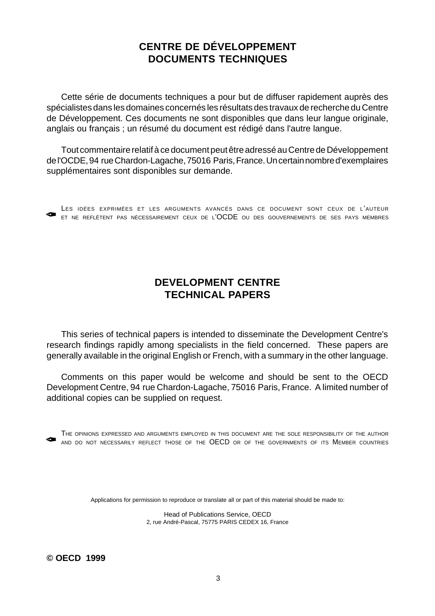# **CENTRE DE DÉVELOPPEMENT DOCUMENTS TECHNIQUES**

Cette série de documents techniques a pour but de diffuser rapidement auprès des spécialistes dans les domaines concernés les résultats des travaux de recherche du Centre de Développement. Ces documents ne sont disponibles que dans leur langue originale, anglais ou français ; un résumé du document est rédigé dans l'autre langue.

Tout commentaire relatif à ce document peut être adressé au Centre de Développement de l'OCDE, 94 rue Chardon-Lagache, 75016 Paris, France. Un certain nombre d'exemplaires supplémentaires sont disponibles sur demande.

LES IDÉES EXPRIMÉES ET LES ARGUMENTS AVANCÉS DANS CE DOCUMENT SONT CEUX DE L'AUTEUR ET NE REFLÈTENT PAS NÉCESSAIREMENT CEUX DE L'OCDE OU DES GOUVERNEMENTS DE SES PAYS MEMBRES ✒

# **DEVELOPMENT CENTRE TECHNICAL PAPERS**

This series of technical papers is intended to disseminate the Development Centre's research findings rapidly among specialists in the field concerned. These papers are generally available in the original English or French, with a summary in the other language.

Comments on this paper would be welcome and should be sent to the OECD Development Centre, 94 rue Chardon-Lagache, 75016 Paris, France. A limited number of additional copies can be supplied on request.

THE OPINIONS EXPRESSED AND ARGUMENTS EMPLOYED IN THIS DOCUMENT ARE THE SOLE RESPONSIBILITY OF THE AUTHOR AND DO NOT NECESSARILY REFLECT THOSE OF THE OECD OR OF THE GOVERNMENTS OF ITS MEMBER COUNTRIES ✒

Applications for permission to reproduce or translate all or part of this material should be made to:

Head of Publications Service, OECD 2, rue André-Pascal, 75775 PARIS CEDEX 16, France

**© OECD 1999**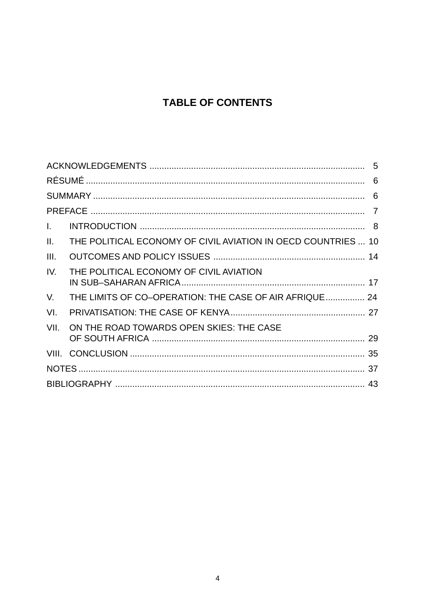# **TABLE OF CONTENTS**

| $\mathbf{L}$ |                                                               |  |  |  |  |
|--------------|---------------------------------------------------------------|--|--|--|--|
| $\Pi$ .      | THE POLITICAL ECONOMY OF CIVIL AVIATION IN OECD COUNTRIES  10 |  |  |  |  |
| III.         |                                                               |  |  |  |  |
| IV.          | THE POLITICAL ECONOMY OF CIVIL AVIATION                       |  |  |  |  |
| V.           | THE LIMITS OF CO-OPERATION: THE CASE OF AIR AFRIQUE 24        |  |  |  |  |
| VI.          |                                                               |  |  |  |  |
| VII.         | ON THE ROAD TOWARDS OPEN SKIES: THE CASE                      |  |  |  |  |
|              |                                                               |  |  |  |  |
|              |                                                               |  |  |  |  |
|              |                                                               |  |  |  |  |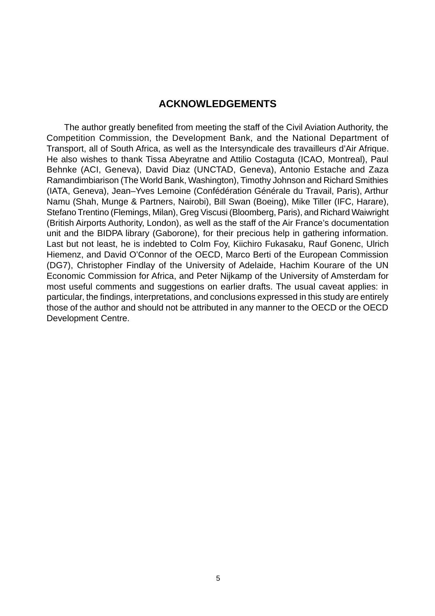### **ACKNOWLEDGEMENTS**

The author greatly benefited from meeting the staff of the Civil Aviation Authority, the Competition Commission, the Development Bank, and the National Department of Transport, all of South Africa, as well as the Intersyndicale des travailleurs d'Air Afrique. He also wishes to thank Tissa Abeyratne and Attilio Costaguta (ICAO, Montreal), Paul Behnke (ACI, Geneva), David Diaz (UNCTAD, Geneva), Antonio Estache and Zaza Ramandimbiarison (The World Bank, Washington), Timothy Johnson and Richard Smithies (IATA, Geneva), Jean–Yves Lemoine (Confédération Générale du Travail, Paris), Arthur Namu (Shah, Munge & Partners, Nairobi), Bill Swan (Boeing), Mike Tiller (IFC, Harare), Stefano Trentino (Flemings, Milan), Greg Viscusi (Bloomberg, Paris), and Richard Waiwright (British Airports Authority, London), as well as the staff of the Air France's documentation unit and the BIDPA library (Gaborone), for their precious help in gathering information. Last but not least, he is indebted to Colm Foy, Kiichiro Fukasaku, Rauf Gonenc, Ulrich Hiemenz, and David O'Connor of the OECD, Marco Berti of the European Commission (DG7), Christopher Findlay of the University of Adelaide, Hachim Kourare of the UN Economic Commission for Africa, and Peter Nijkamp of the University of Amsterdam for most useful comments and suggestions on earlier drafts. The usual caveat applies: in particular, the findings, interpretations, and conclusions expressed in this study are entirely those of the author and should not be attributed in any manner to the OECD or the OECD Development Centre.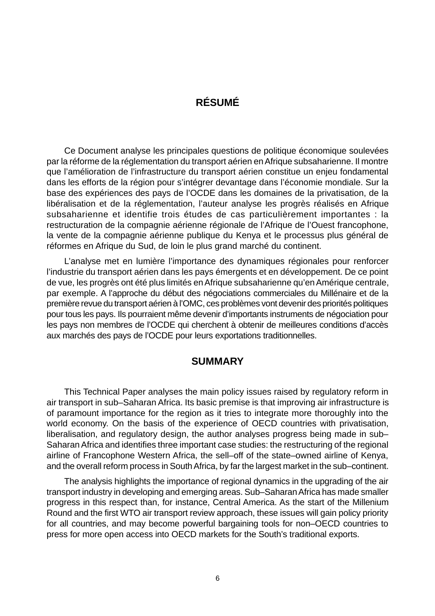# **RÉSUMÉ**

Ce Document analyse les principales questions de politique économique soulevées par la réforme de la réglementation du transport aérien en Afrique subsaharienne. Il montre que l'amélioration de l'infrastructure du transport aérien constitue un enjeu fondamental dans les efforts de la région pour s'intégrer devantage dans l'économie mondiale. Sur la base des expériences des pays de l'OCDE dans les domaines de la privatisation, de la libéralisation et de la réglementation, l'auteur analyse les progrès réalisés en Afrique subsaharienne et identifie trois études de cas particulièrement importantes : la restructuration de la compagnie aérienne régionale de l'Afrique de l'Ouest francophone, la vente de la compagnie aérienne publique du Kenya et le processus plus général de réformes en Afrique du Sud, de loin le plus grand marché du continent.

L'analyse met en lumière l'importance des dynamiques régionales pour renforcer l'industrie du transport aérien dans les pays émergents et en développement. De ce point de vue, les progrès ont été plus limités en Afrique subsaharienne qu'en Amérique centrale, par exemple. A l'approche du début des négociations commerciales du Millénaire et de la première revue du transport aérien à l'OMC, ces problèmes vont devenir des priorités politiques pour tous les pays. Ils pourraient même devenir d'importants instruments de négociation pour les pays non membres de l'OCDE qui cherchent à obtenir de meilleures conditions d'accès aux marchés des pays de l'OCDE pour leurs exportations traditionnelles.

### **SUMMARY**

This Technical Paper analyses the main policy issues raised by regulatory reform in air transport in sub–Saharan Africa. Its basic premise is that improving air infrastructure is of paramount importance for the region as it tries to integrate more thoroughly into the world economy. On the basis of the experience of OECD countries with privatisation, liberalisation, and regulatory design, the author analyses progress being made in sub– Saharan Africa and identifies three important case studies: the restructuring of the regional airline of Francophone Western Africa, the sell–off of the state–owned airline of Kenya, and the overall reform process in South Africa, by far the largest market in the sub–continent.

The analysis highlights the importance of regional dynamics in the upgrading of the air transport industry in developing and emerging areas. Sub–Saharan Africa has made smaller progress in this respect than, for instance, Central America. As the start of the Millenium Round and the first WTO air transport review approach, these issues will gain policy priority for all countries, and may become powerful bargaining tools for non–OECD countries to press for more open access into OECD markets for the South's traditional exports.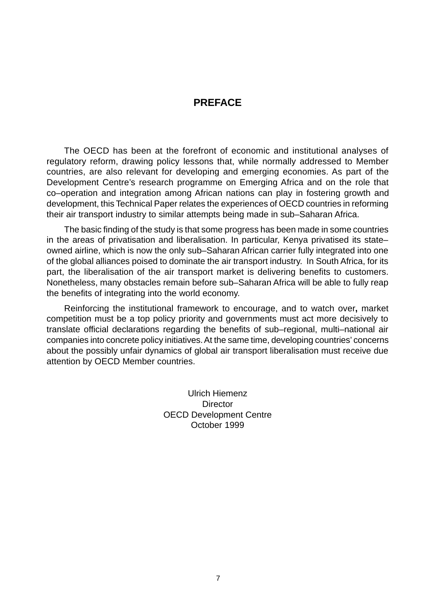### **PREFACE**

The OECD has been at the forefront of economic and institutional analyses of regulatory reform, drawing policy lessons that, while normally addressed to Member countries, are also relevant for developing and emerging economies. As part of the Development Centre's research programme on Emerging Africa and on the role that co–operation and integration among African nations can play in fostering growth and development, this Technical Paper relates the experiences of OECD countries in reforming their air transport industry to similar attempts being made in sub–Saharan Africa.

The basic finding of the study is that some progress has been made in some countries in the areas of privatisation and liberalisation. In particular, Kenya privatised its state– owned airline, which is now the only sub–Saharan African carrier fully integrated into one of the global alliances poised to dominate the air transport industry. In South Africa, for its part, the liberalisation of the air transport market is delivering benefits to customers. Nonetheless, many obstacles remain before sub–Saharan Africa will be able to fully reap the benefits of integrating into the world economy.

Reinforcing the institutional framework to encourage, and to watch over**,** market competition must be a top policy priority and governments must act more decisively to translate official declarations regarding the benefits of sub–regional, multi–national air companies into concrete policy initiatives. At the same time, developing countries' concerns about the possibly unfair dynamics of global air transport liberalisation must receive due attention by OECD Member countries.

> Ulrich Hiemenz **Director** OECD Development Centre October 1999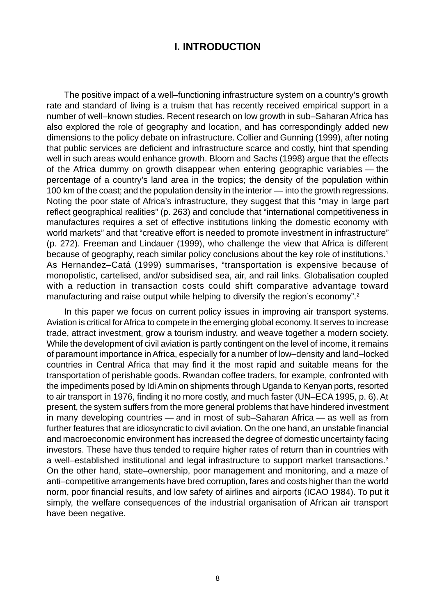## **I. INTRODUCTION**

The positive impact of a well–functioning infrastructure system on a country's growth rate and standard of living is a truism that has recently received empirical support in a number of well–known studies. Recent research on low growth in sub–Saharan Africa has also explored the role of geography and location, and has correspondingly added new dimensions to the policy debate on infrastructure. Collier and Gunning (1999), after noting that public services are deficient and infrastructure scarce and costly, hint that spending well in such areas would enhance growth. Bloom and Sachs (1998) argue that the effects of the Africa dummy on growth disappear when entering geographic variables — the percentage of a country's land area in the tropics; the density of the population within 100 km of the coast; and the population density in the interior — into the growth regressions. Noting the poor state of Africa's infrastructure, they suggest that this "may in large part reflect geographical realities" (p. 263) and conclude that "international competitiveness in manufactures requires a set of effective institutions linking the domestic economy with world markets" and that "creative effort is needed to promote investment in infrastructure" (p. 272). Freeman and Lindauer (1999), who challenge the view that Africa is different because of geography, reach similar policy conclusions about the key role of institutions.<sup>1</sup> As Hernandez–Catá (1999) summarises, "transportation is expensive because of monopolistic, cartelised, and/or subsidised sea, air, and rail links. Globalisation coupled with a reduction in transaction costs could shift comparative advantage toward manufacturing and raise output while helping to diversify the region's economy".<sup>2</sup>

In this paper we focus on current policy issues in improving air transport systems. Aviation is critical for Africa to compete in the emerging global economy. It serves to increase trade, attract investment, grow a tourism industry, and weave together a modern society. While the development of civil aviation is partly contingent on the level of income, it remains of paramount importance in Africa, especially for a number of low–density and land–locked countries in Central Africa that may find it the most rapid and suitable means for the transportation of perishable goods. Rwandan coffee traders, for example, confronted with the impediments posed by Idi Amin on shipments through Uganda to Kenyan ports, resorted to air transport in 1976, finding it no more costly, and much faster (UN–ECA 1995, p. 6). At present, the system suffers from the more general problems that have hindered investment in many developing countries — and in most of sub–Saharan Africa — as well as from further features that are idiosyncratic to civil aviation. On the one hand, an unstable financial and macroeconomic environment has increased the degree of domestic uncertainty facing investors. These have thus tended to require higher rates of return than in countries with a well–established institutional and legal infrastructure to support market transactions.<sup>3</sup> On the other hand, state–ownership, poor management and monitoring, and a maze of anti–competitive arrangements have bred corruption, fares and costs higher than the world norm, poor financial results, and low safety of airlines and airports (ICAO 1984). To put it simply, the welfare consequences of the industrial organisation of African air transport have been negative.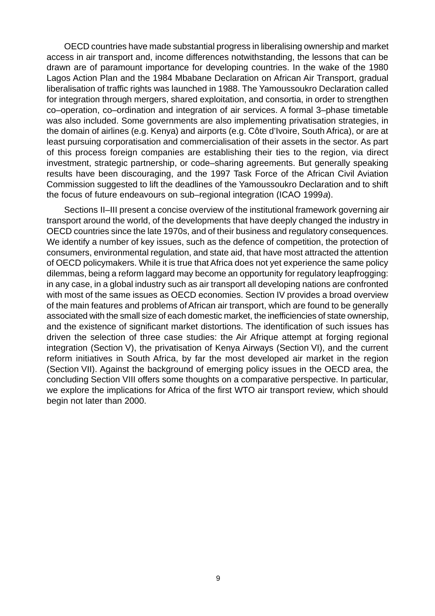OECD countries have made substantial progress in liberalising ownership and market access in air transport and, income differences notwithstanding, the lessons that can be drawn are of paramount importance for developing countries. In the wake of the 1980 Lagos Action Plan and the 1984 Mbabane Declaration on African Air Transport, gradual liberalisation of traffic rights was launched in 1988. The Yamoussoukro Declaration called for integration through mergers, shared exploitation, and consortia, in order to strengthen co–operation, co–ordination and integration of air services. A formal 3–phase timetable was also included. Some governments are also implementing privatisation strategies, in the domain of airlines (e.g. Kenya) and airports (e.g. Côte d'Ivoire, South Africa), or are at least pursuing corporatisation and commercialisation of their assets in the sector. As part of this process foreign companies are establishing their ties to the region, via direct investment, strategic partnership, or code–sharing agreements. But generally speaking results have been discouraging, and the 1997 Task Force of the African Civil Aviation Commission suggested to lift the deadlines of the Yamoussoukro Declaration and to shift the focus of future endeavours on sub–regional integration (ICAO 1999a).

Sections II–III present a concise overview of the institutional framework governing air transport around the world, of the developments that have deeply changed the industry in OECD countries since the late 1970s, and of their business and regulatory consequences. We identify a number of key issues, such as the defence of competition, the protection of consumers, environmental regulation, and state aid, that have most attracted the attention of OECD policymakers. While it is true that Africa does not yet experience the same policy dilemmas, being a reform laggard may become an opportunity for regulatory leapfrogging: in any case, in a global industry such as air transport all developing nations are confronted with most of the same issues as OECD economies. Section IV provides a broad overview of the main features and problems of African air transport, which are found to be generally associated with the small size of each domestic market, the inefficiencies of state ownership, and the existence of significant market distortions. The identification of such issues has driven the selection of three case studies: the Air Afrique attempt at forging regional integration (Section V), the privatisation of Kenya Airways (Section VI), and the current reform initiatives in South Africa, by far the most developed air market in the region (Section VII). Against the background of emerging policy issues in the OECD area, the concluding Section VIII offers some thoughts on a comparative perspective. In particular, we explore the implications for Africa of the first WTO air transport review, which should begin not later than 2000.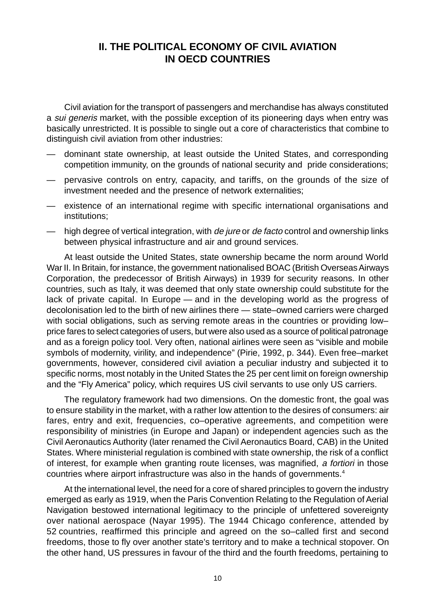# **II. THE POLITICAL ECONOMY OF CIVIL AVIATION IN OECD COUNTRIES**

Civil aviation for the transport of passengers and merchandise has always constituted a sui generis market, with the possible exception of its pioneering days when entry was basically unrestricted. It is possible to single out a core of characteristics that combine to distinguish civil aviation from other industries:

- dominant state ownership, at least outside the United States, and corresponding competition immunity, on the grounds of national security and pride considerations;
- pervasive controls on entry, capacity, and tariffs, on the grounds of the size of investment needed and the presence of network externalities;
- existence of an international regime with specific international organisations and institutions;
- high degree of vertical integration, with de jure or de facto control and ownership links between physical infrastructure and air and ground services.

At least outside the United States, state ownership became the norm around World War II. In Britain, for instance, the government nationalised BOAC (British Overseas Airways Corporation, the predecessor of British Airways) in 1939 for security reasons. In other countries, such as Italy, it was deemed that only state ownership could substitute for the lack of private capital. In Europe — and in the developing world as the progress of decolonisation led to the birth of new airlines there — state–owned carriers were charged with social obligations, such as serving remote areas in the countries or providing lowprice fares to select categories of users, but were also used as a source of political patronage and as a foreign policy tool. Very often, national airlines were seen as "visible and mobile symbols of modernity, virility, and independence" (Pirie, 1992, p. 344). Even free–market governments, however, considered civil aviation a peculiar industry and subjected it to specific norms, most notably in the United States the 25 per cent limit on foreign ownership and the "Fly America" policy, which requires US civil servants to use only US carriers.

The regulatory framework had two dimensions. On the domestic front, the goal was to ensure stability in the market, with a rather low attention to the desires of consumers: air fares, entry and exit, frequencies, co–operative agreements, and competition were responsibility of ministries (in Europe and Japan) or independent agencies such as the Civil Aeronautics Authority (later renamed the Civil Aeronautics Board, CAB) in the United States. Where ministerial regulation is combined with state ownership, the risk of a conflict of interest, for example when granting route licenses, was magnified, a fortiori in those countries where airport infrastructure was also in the hands of governments.4

At the international level, the need for a core of shared principles to govern the industry emerged as early as 1919, when the Paris Convention Relating to the Regulation of Aerial Navigation bestowed international legitimacy to the principle of unfettered sovereignty over national aerospace (Nayar 1995). The 1944 Chicago conference, attended by 52 countries, reaffirmed this principle and agreed on the so–called first and second freedoms, those to fly over another state's territory and to make a technical stopover. On the other hand, US pressures in favour of the third and the fourth freedoms, pertaining to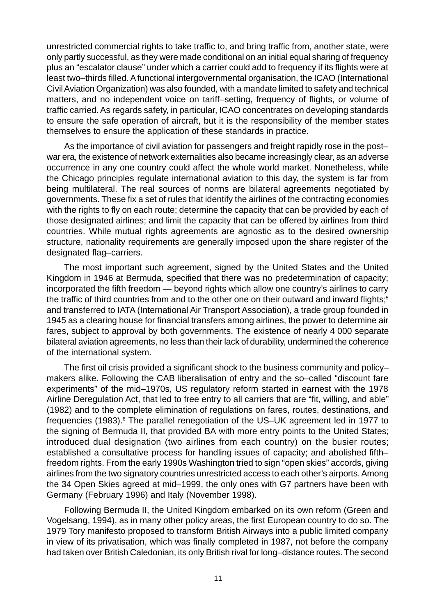unrestricted commercial rights to take traffic to, and bring traffic from, another state, were only partly successful, as they were made conditional on an initial equal sharing of frequency plus an "escalator clause" under which a carrier could add to frequency if its flights were at least two–thirds filled. A functional intergovernmental organisation, the ICAO (International Civil Aviation Organization) was also founded, with a mandate limited to safety and technical matters, and no independent voice on tariff–setting, frequency of flights, or volume of traffic carried. As regards safety, in particular, ICAO concentrates on developing standards to ensure the safe operation of aircraft, but it is the responsibility of the member states themselves to ensure the application of these standards in practice.

As the importance of civil aviation for passengers and freight rapidly rose in the post– war era, the existence of network externalities also became increasingly clear, as an adverse occurrence in any one country could affect the whole world market. Nonetheless, while the Chicago principles regulate international aviation to this day, the system is far from being multilateral. The real sources of norms are bilateral agreements negotiated by governments. These fix a set of rules that identify the airlines of the contracting economies with the rights to fly on each route; determine the capacity that can be provided by each of those designated airlines; and limit the capacity that can be offered by airlines from third countries. While mutual rights agreements are agnostic as to the desired ownership structure, nationality requirements are generally imposed upon the share register of the designated flag–carriers.

The most important such agreement, signed by the United States and the United Kingdom in 1946 at Bermuda, specified that there was no predetermination of capacity; incorporated the fifth freedom — beyond rights which allow one country's airlines to carry the traffic of third countries from and to the other one on their outward and inward flights;<sup>5</sup> and transferred to IATA (International Air Transport Association), a trade group founded in 1945 as a clearing house for financial transfers among airlines, the power to determine air fares, subject to approval by both governments. The existence of nearly 4 000 separate bilateral aviation agreements, no less than their lack of durability, undermined the coherence of the international system.

The first oil crisis provided a significant shock to the business community and policy– makers alike. Following the CAB liberalisation of entry and the so–called "discount fare experiments" of the mid–1970s, US regulatory reform started in earnest with the 1978 Airline Deregulation Act, that led to free entry to all carriers that are "fit, willing, and able" (1982) and to the complete elimination of regulations on fares, routes, destinations, and frequencies (1983).<sup>6</sup> The parallel renegotiation of the US-UK agreement led in 1977 to the signing of Bermuda II, that provided BA with more entry points to the United States; introduced dual designation (two airlines from each country) on the busier routes; established a consultative process for handling issues of capacity; and abolished fifth– freedom rights. From the early 1990s Washington tried to sign "open skies" accords, giving airlines from the two signatory countries unrestricted access to each other's airports. Among the 34 Open Skies agreed at mid–1999, the only ones with G7 partners have been with Germany (February 1996) and Italy (November 1998).

Following Bermuda II, the United Kingdom embarked on its own reform (Green and Vogelsang, 1994), as in many other policy areas, the first European country to do so. The 1979 Tory manifesto proposed to transform British Airways into a public limited company in view of its privatisation, which was finally completed in 1987, not before the company had taken over British Caledonian, its only British rival for long–distance routes. The second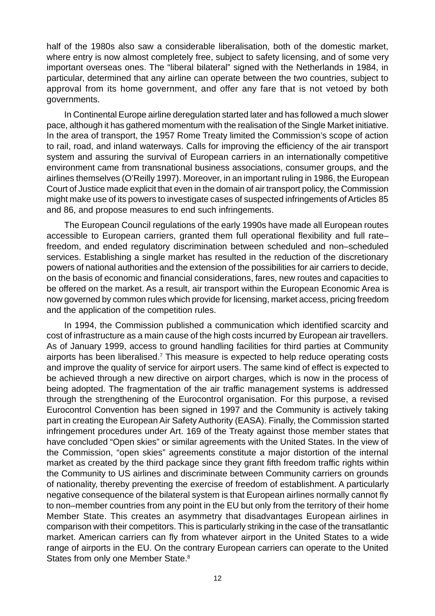half of the 1980s also saw a considerable liberalisation, both of the domestic market, where entry is now almost completely free, subject to safety licensing, and of some very important overseas ones. The "liberal bilateral" signed with the Netherlands in 1984, in particular, determined that any airline can operate between the two countries, subject to approval from its home government, and offer any fare that is not vetoed by both governments.

In Continental Europe airline deregulation started later and has followed a much slower pace, although it has gathered momentum with the realisation of the Single Market initiative. In the area of transport, the 1957 Rome Treaty limited the Commission's scope of action to rail, road, and inland waterways. Calls for improving the efficiency of the air transport system and assuring the survival of European carriers in an internationally competitive environment came from transnational business associations, consumer groups, and the airlines themselves (O'Reilly 1997). Moreover, in an important ruling in 1986, the European Court of Justice made explicit that even in the domain of air transport policy, the Commission might make use of its powers to investigate cases of suspected infringements of Articles 85 and 86, and propose measures to end such infringements.

The European Council regulations of the early 1990s have made all European routes accessible to European carriers, granted them full operational flexibility and full rate– freedom, and ended regulatory discrimination between scheduled and non–scheduled services. Establishing a single market has resulted in the reduction of the discretionary powers of national authorities and the extension of the possibilities for air carriers to decide, on the basis of economic and financial considerations, fares, new routes and capacities to be offered on the market. As a result, air transport within the European Economic Area is now governed by common rules which provide for licensing, market access, pricing freedom and the application of the competition rules.

In 1994, the Commission published a communication which identified scarcity and cost of infrastructure as a main cause of the high costs incurred by European air travellers. As of January 1999, access to ground handling facilities for third parties at Community airports has been liberalised.<sup>7</sup> This measure is expected to help reduce operating costs and improve the quality of service for airport users. The same kind of effect is expected to be achieved through a new directive on airport charges, which is now in the process of being adopted. The fragmentation of the air traffic management systems is addressed through the strengthening of the Eurocontrol organisation. For this purpose, a revised Eurocontrol Convention has been signed in 1997 and the Community is actively taking part in creating the European Air Safety Authority (EASA). Finally, the Commission started infringement procedures under Art. 169 of the Treaty against those member states that have concluded "Open skies" or similar agreements with the United States. In the view of the Commission, "open skies" agreements constitute a major distortion of the internal market as created by the third package since they grant fifth freedom traffic rights within the Community to US airlines and discriminate between Community carriers on grounds of nationality, thereby preventing the exercise of freedom of establishment. A particularly negative consequence of the bilateral system is that European airlines normally cannot fly to non–member countries from any point in the EU but only from the territory of their home Member State. This creates an asymmetry that disadvantages European airlines in comparison with their competitors. This is particularly striking in the case of the transatlantic market. American carriers can fly from whatever airport in the United States to a wide range of airports in the EU. On the contrary European carriers can operate to the United States from only one Member State.<sup>8</sup>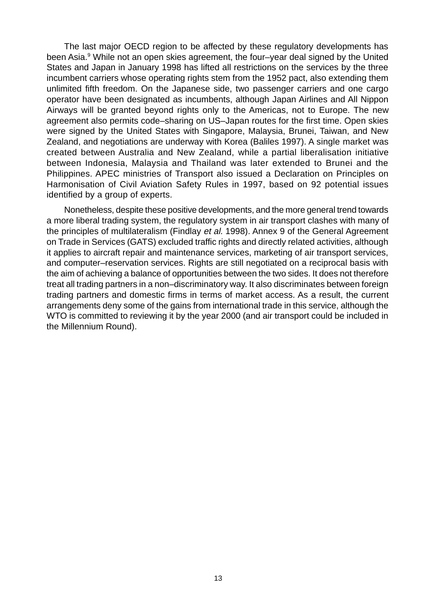The last major OECD region to be affected by these regulatory developments has been Asia.<sup>9</sup> While not an open skies agreement, the four–year deal signed by the United States and Japan in January 1998 has lifted all restrictions on the services by the three incumbent carriers whose operating rights stem from the 1952 pact, also extending them unlimited fifth freedom. On the Japanese side, two passenger carriers and one cargo operator have been designated as incumbents, although Japan Airlines and All Nippon Airways will be granted beyond rights only to the Americas, not to Europe. The new agreement also permits code–sharing on US–Japan routes for the first time. Open skies were signed by the United States with Singapore, Malaysia, Brunei, Taiwan, and New Zealand, and negotiations are underway with Korea (Baliles 1997). A single market was created between Australia and New Zealand, while a partial liberalisation initiative between Indonesia, Malaysia and Thailand was later extended to Brunei and the Philippines. APEC ministries of Transport also issued a Declaration on Principles on Harmonisation of Civil Aviation Safety Rules in 1997, based on 92 potential issues identified by a group of experts.

Nonetheless, despite these positive developments, and the more general trend towards a more liberal trading system, the regulatory system in air transport clashes with many of the principles of multilateralism (Findlay et al. 1998). Annex 9 of the General Agreement on Trade in Services (GATS) excluded traffic rights and directly related activities, although it applies to aircraft repair and maintenance services, marketing of air transport services, and computer–reservation services. Rights are still negotiated on a reciprocal basis with the aim of achieving a balance of opportunities between the two sides. It does not therefore treat all trading partners in a non–discriminatory way. It also discriminates between foreign trading partners and domestic firms in terms of market access. As a result, the current arrangements deny some of the gains from international trade in this service, although the WTO is committed to reviewing it by the year 2000 (and air transport could be included in the Millennium Round).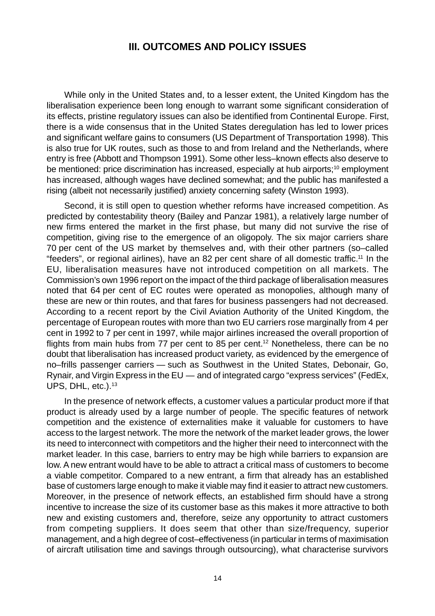# **III. OUTCOMES AND POLICY ISSUES**

While only in the United States and, to a lesser extent, the United Kingdom has the liberalisation experience been long enough to warrant some significant consideration of its effects, pristine regulatory issues can also be identified from Continental Europe. First, there is a wide consensus that in the United States deregulation has led to lower prices and significant welfare gains to consumers (US Department of Transportation 1998). This is also true for UK routes, such as those to and from Ireland and the Netherlands, where entry is free (Abbott and Thompson 1991). Some other less–known effects also deserve to be mentioned: price discrimination has increased, especially at hub airports;<sup>10</sup> employment has increased, although wages have declined somewhat; and the public has manifested a rising (albeit not necessarily justified) anxiety concerning safety (Winston 1993).

Second, it is still open to question whether reforms have increased competition. As predicted by contestability theory (Bailey and Panzar 1981), a relatively large number of new firms entered the market in the first phase, but many did not survive the rise of competition, giving rise to the emergence of an oligopoly. The six major carriers share 70 per cent of the US market by themselves and, with their other partners (so–called "feeders", or regional airlines), have an 82 per cent share of all domestic traffic.11 In the EU, liberalisation measures have not introduced competition on all markets. The Commission's own 1996 report on the impact of the third package of liberalisation measures noted that 64 per cent of EC routes were operated as monopolies, although many of these are new or thin routes, and that fares for business passengers had not decreased. According to a recent report by the Civil Aviation Authority of the United Kingdom, the percentage of European routes with more than two EU carriers rose marginally from 4 per cent in 1992 to 7 per cent in 1997, while major airlines increased the overall proportion of flights from main hubs from 77 per cent to 85 per cent.<sup>12</sup> Nonetheless, there can be no doubt that liberalisation has increased product variety, as evidenced by the emergence of no–frills passenger carriers — such as Southwest in the United States, Debonair, Go, Rynair, and Virgin Express in the EU — and of integrated cargo "express services" (FedEx, UPS, DHL, etc.). $13$ 

In the presence of network effects, a customer values a particular product more if that product is already used by a large number of people. The specific features of network competition and the existence of externalities make it valuable for customers to have access to the largest network. The more the network of the market leader grows, the lower its need to interconnect with competitors and the higher their need to interconnect with the market leader. In this case, barriers to entry may be high while barriers to expansion are low. A new entrant would have to be able to attract a critical mass of customers to become a viable competitor. Compared to a new entrant, a firm that already has an established base of customers large enough to make it viable may find it easier to attract new customers. Moreover, in the presence of network effects, an established firm should have a strong incentive to increase the size of its customer base as this makes it more attractive to both new and existing customers and, therefore, seize any opportunity to attract customers from competing suppliers. It does seem that other than size/frequency, superior management, and a high degree of cost–effectiveness (in particular in terms of maximisation of aircraft utilisation time and savings through outsourcing), what characterise survivors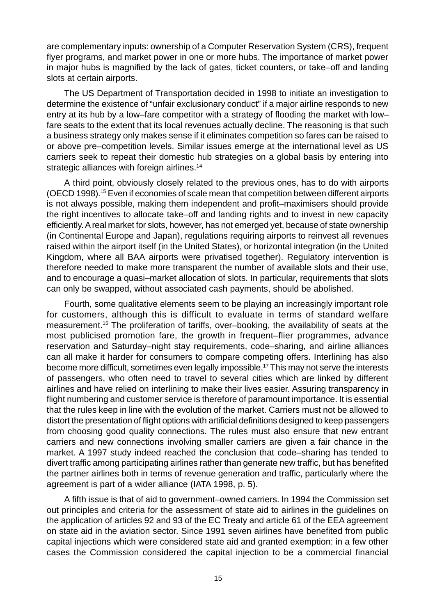are complementary inputs: ownership of a Computer Reservation System (CRS), frequent flyer programs, and market power in one or more hubs. The importance of market power in major hubs is magnified by the lack of gates, ticket counters, or take–off and landing slots at certain airports.

The US Department of Transportation decided in 1998 to initiate an investigation to determine the existence of "unfair exclusionary conduct" if a major airline responds to new entry at its hub by a low–fare competitor with a strategy of flooding the market with low– fare seats to the extent that its local revenues actually decline. The reasoning is that such a business strategy only makes sense if it eliminates competition so fares can be raised to or above pre–competition levels. Similar issues emerge at the international level as US carriers seek to repeat their domestic hub strategies on a global basis by entering into strategic alliances with foreign airlines.<sup>14</sup>

A third point, obviously closely related to the previous ones, has to do with airports (OECD 1998).15 Even if economies of scale mean that competition between different airports is not always possible, making them independent and profit–maximisers should provide the right incentives to allocate take–off and landing rights and to invest in new capacity efficiently. A real market for slots, however, has not emerged yet, because of state ownership (in Continental Europe and Japan), regulations requiring airports to reinvest all revenues raised within the airport itself (in the United States), or horizontal integration (in the United Kingdom, where all BAA airports were privatised together). Regulatory intervention is therefore needed to make more transparent the number of available slots and their use, and to encourage a quasi–market allocation of slots. In particular, requirements that slots can only be swapped, without associated cash payments, should be abolished.

Fourth, some qualitative elements seem to be playing an increasingly important role for customers, although this is difficult to evaluate in terms of standard welfare measurement.16 The proliferation of tariffs, over–booking, the availability of seats at the most publicised promotion fare, the growth in frequent–flier programmes, advance reservation and Saturday–night stay requirements, code–sharing, and airline alliances can all make it harder for consumers to compare competing offers. Interlining has also become more difficult, sometimes even legally impossible.17 This may not serve the interests of passengers, who often need to travel to several cities which are linked by different airlines and have relied on interlining to make their lives easier. Assuring transparency in flight numbering and customer service is therefore of paramount importance. It is essential that the rules keep in line with the evolution of the market. Carriers must not be allowed to distort the presentation of flight options with artificial definitions designed to keep passengers from choosing good quality connections. The rules must also ensure that new entrant carriers and new connections involving smaller carriers are given a fair chance in the market. A 1997 study indeed reached the conclusion that code–sharing has tended to divert traffic among participating airlines rather than generate new traffic, but has benefited the partner airlines both in terms of revenue generation and traffic, particularly where the agreement is part of a wider alliance (IATA 1998, p. 5).

A fifth issue is that of aid to government–owned carriers. In 1994 the Commission set out principles and criteria for the assessment of state aid to airlines in the guidelines on the application of articles 92 and 93 of the EC Treaty and article 61 of the EEA agreement on state aid in the aviation sector. Since 1991 seven airlines have benefited from public capital injections which were considered state aid and granted exemption: in a few other cases the Commission considered the capital injection to be a commercial financial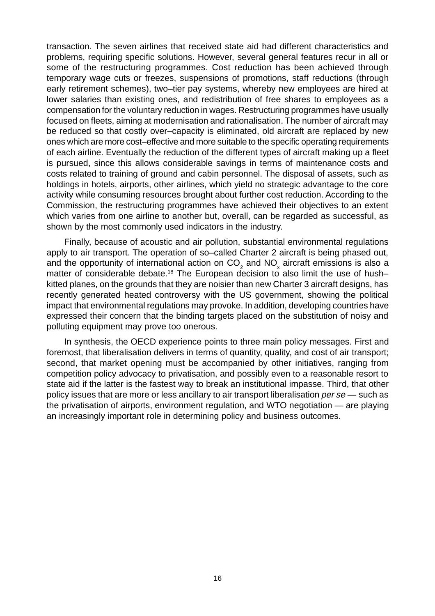transaction. The seven airlines that received state aid had different characteristics and problems, requiring specific solutions. However, several general features recur in all or some of the restructuring programmes. Cost reduction has been achieved through temporary wage cuts or freezes, suspensions of promotions, staff reductions (through early retirement schemes), two–tier pay systems, whereby new employees are hired at lower salaries than existing ones, and redistribution of free shares to employees as a compensation for the voluntary reduction in wages. Restructuring programmes have usually focused on fleets, aiming at modernisation and rationalisation. The number of aircraft may be reduced so that costly over–capacity is eliminated, old aircraft are replaced by new ones which are more cost–effective and more suitable to the specific operating requirements of each airline. Eventually the reduction of the different types of aircraft making up a fleet is pursued, since this allows considerable savings in terms of maintenance costs and costs related to training of ground and cabin personnel. The disposal of assets, such as holdings in hotels, airports, other airlines, which yield no strategic advantage to the core activity while consuming resources brought about further cost reduction. According to the Commission, the restructuring programmes have achieved their objectives to an extent which varies from one airline to another but, overall, can be regarded as successful, as shown by the most commonly used indicators in the industry.

Finally, because of acoustic and air pollution, substantial environmental regulations apply to air transport. The operation of so–called Charter 2 aircraft is being phased out, and the opportunity of international action on CO<sub>2</sub> and NO<sub>x</sub> aircraft emissions is also a matter of considerable debate.<sup>18</sup> The European decision to also limit the use of hush– kitted planes, on the grounds that they are noisier than new Charter 3 aircraft designs, has recently generated heated controversy with the US government, showing the political impact that environmental regulations may provoke. In addition, developing countries have expressed their concern that the binding targets placed on the substitution of noisy and polluting equipment may prove too onerous.

In synthesis, the OECD experience points to three main policy messages. First and foremost, that liberalisation delivers in terms of quantity, quality, and cost of air transport; second, that market opening must be accompanied by other initiatives, ranging from competition policy advocacy to privatisation, and possibly even to a reasonable resort to state aid if the latter is the fastest way to break an institutional impasse. Third, that other policy issues that are more or less ancillary to air transport liberalisation per se – such as the privatisation of airports, environment regulation, and WTO negotiation — are playing an increasingly important role in determining policy and business outcomes.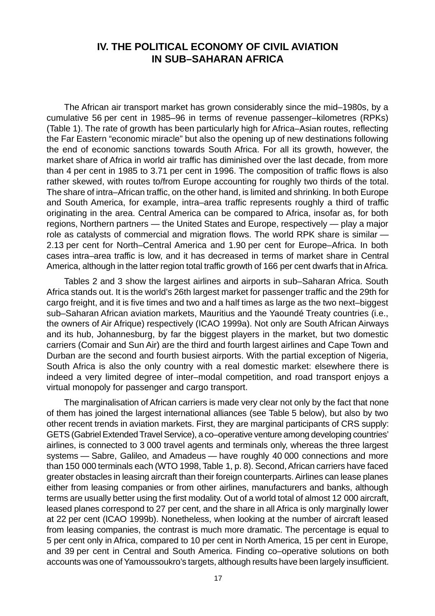# **IV. THE POLITICAL ECONOMY OF CIVIL AVIATION IN SUB–SAHARAN AFRICA**

The African air transport market has grown considerably since the mid–1980s, by a cumulative 56 per cent in 1985–96 in terms of revenue passenger–kilometres (RPKs) (Table 1). The rate of growth has been particularly high for Africa–Asian routes, reflecting the Far Eastern "economic miracle" but also the opening up of new destinations following the end of economic sanctions towards South Africa. For all its growth, however, the market share of Africa in world air traffic has diminished over the last decade, from more than 4 per cent in 1985 to 3.71 per cent in 1996. The composition of traffic flows is also rather skewed, with routes to/from Europe accounting for roughly two thirds of the total. The share of intra–African traffic, on the other hand, is limited and shrinking. In both Europe and South America, for example, intra–area traffic represents roughly a third of traffic originating in the area. Central America can be compared to Africa, insofar as, for both regions, Northern partners — the United States and Europe, respectively — play a major role as catalysts of commercial and migration flows. The world RPK share is similar — 2.13 per cent for North–Central America and 1.90 per cent for Europe–Africa. In both cases intra–area traffic is low, and it has decreased in terms of market share in Central America, although in the latter region total traffic growth of 166 per cent dwarfs that in Africa.

Tables 2 and 3 show the largest airlines and airports in sub–Saharan Africa. South Africa stands out. It is the world's 26th largest market for passenger traffic and the 29th for cargo freight, and it is five times and two and a half times as large as the two next–biggest sub–Saharan African aviation markets, Mauritius and the Yaoundé Treaty countries (i.e., the owners of Air Afrique) respectively (ICAO 1999a). Not only are South African Airways and its hub, Johannesburg, by far the biggest players in the market, but two domestic carriers (Comair and Sun Air) are the third and fourth largest airlines and Cape Town and Durban are the second and fourth busiest airports. With the partial exception of Nigeria, South Africa is also the only country with a real domestic market: elsewhere there is indeed a very limited degree of inter–modal competition, and road transport enjoys a virtual monopoly for passenger and cargo transport.

The marginalisation of African carriers is made very clear not only by the fact that none of them has joined the largest international alliances (see Table 5 below), but also by two other recent trends in aviation markets. First, they are marginal participants of CRS supply: GETS (Gabriel Extended Travel Service), a co–operative venture among developing countries' airlines, is connected to 3 000 travel agents and terminals only, whereas the three largest systems — Sabre, Galileo, and Amadeus — have roughly 40 000 connections and more than 150 000 terminals each (WTO 1998, Table 1, p. 8). Second, African carriers have faced greater obstacles in leasing aircraft than their foreign counterparts. Airlines can lease planes either from leasing companies or from other airlines, manufacturers and banks, although terms are usually better using the first modality. Out of a world total of almost 12 000 aircraft, leased planes correspond to 27 per cent, and the share in all Africa is only marginally lower at 22 per cent (ICAO 1999b). Nonetheless, when looking at the number of aircraft leased from leasing companies, the contrast is much more dramatic. The percentage is equal to 5 per cent only in Africa, compared to 10 per cent in North America, 15 per cent in Europe, and 39 per cent in Central and South America. Finding co–operative solutions on both accounts was one of Yamoussoukro's targets, although results have been largely insufficient.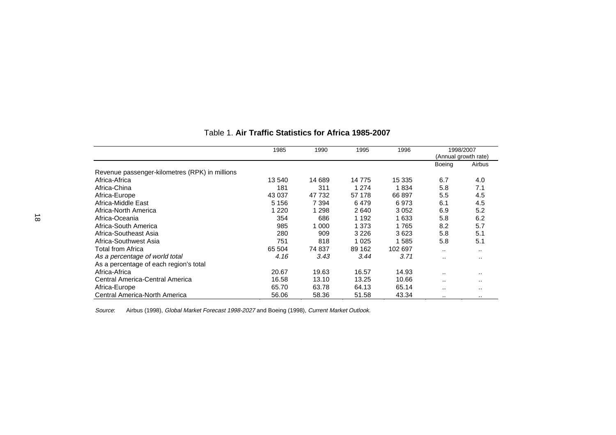|                                                | 1985    | 1990    | 1995    | 1996    |        | 1998/2007            |
|------------------------------------------------|---------|---------|---------|---------|--------|----------------------|
|                                                |         |         |         |         |        | (Annual growth rate) |
|                                                |         |         |         |         | Boeing | Airbus               |
| Revenue passenger-kilometres (RPK) in millions |         |         |         |         |        |                      |
| Africa-Africa                                  | 13 540  | 14 689  | 14 775  | 15 335  | 6.7    | 4.0                  |
| Africa-China                                   | 181     | 311     | 1 274   | 1834    | 5.8    | 7.1                  |
| Africa-Europe                                  | 43 037  | 47 732  | 57 178  | 66 897  | 5.5    | 4.5                  |
| Africa-Middle East                             | 5 1 5 6 | 7 3 9 4 | 6479    | 6973    | 6.1    | 4.5                  |
| Africa-North America                           | 1 2 2 0 | 1 2 9 8 | 2640    | 3052    | 6.9    | 5.2                  |
| Africa-Oceania                                 | 354     | 686     | 1 1 9 2 | 1633    | 5.8    | 6.2                  |
| Africa-South America                           | 985     | 1 000   | 1 373   | 1765    | 8.2    | 5.7                  |
| Africa-Southeast Asia                          | 280     | 909     | 3 2 2 6 | 3623    | 5.8    | 5.1                  |
| Africa-Southwest Asia                          | 751     | 818     | 1 0 2 5 | 1585    | 5.8    | 5.1                  |
| <b>Total from Africa</b>                       | 65 504  | 74 837  | 89 162  | 102 697 |        |                      |
| As a percentage of world total                 | 4.16    | 3.43    | 3.44    | 3.71    |        |                      |
| As a percentage of each region's total         |         |         |         |         |        |                      |
| Africa-Africa                                  | 20.67   | 19.63   | 16.57   | 14.93   |        |                      |
| Central America-Central America                | 16.58   | 13.10   | 13.25   | 10.66   |        |                      |
| Africa-Europe                                  | 65.70   | 63.78   | 64.13   | 65.14   |        |                      |
| Central America-North America                  | 56.06   | 58.36   | 51.58   | 43.34   |        |                      |

#### Table 1. **Air Traffic Statistics for Africa 1985-2007**

Source: Airbus (1998), Global Market Forecast 1998-2027 and Boeing (1998), Current Market Outlook.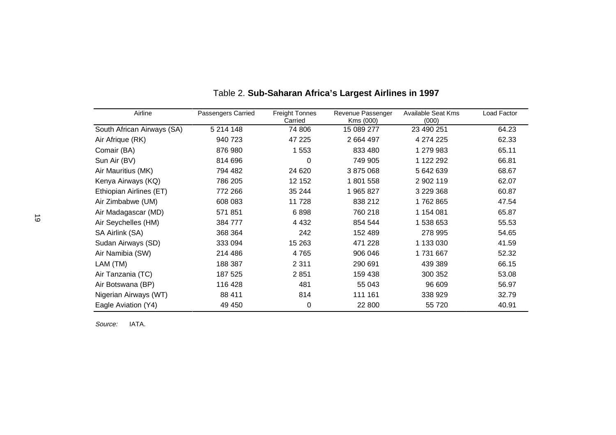| Airline                    | Passengers Carried | <b>Freight Tonnes</b><br>Carried | Revenue Passenger<br>Kms (000) | Available Seat Kms<br>(000) | Load Factor |
|----------------------------|--------------------|----------------------------------|--------------------------------|-----------------------------|-------------|
| South African Airways (SA) | 5 214 148          | 74 806                           | 15 089 277                     | 23 490 251                  | 64.23       |
| Air Afrique (RK)           | 940 723            | 47 225                           | 2 664 497                      | 4 274 225                   | 62.33       |
| Comair (BA)                | 876 980            | 1 5 5 3                          | 833 480                        | 1 279 983                   | 65.11       |
| Sun Air (BV)               | 814 696            | 0                                | 749 905                        | 1 122 292                   | 66.81       |
| Air Mauritius (MK)         | 794 482            | 24 6 20                          | 3 875 068                      | 5 642 639                   | 68.67       |
| Kenya Airways (KQ)         | 786 205            | 12 152                           | 1801558                        | 2 902 119                   | 62.07       |
| Ethiopian Airlines (ET)    | 772 266            | 35 244                           | 1 965 827                      | 3 229 368                   | 60.87       |
| Air Zimbabwe (UM)          | 608 083            | 11 728                           | 838 212                        | 1762865                     | 47.54       |
| Air Madagascar (MD)        | 571851             | 6898                             | 760 218                        | 1 154 081                   | 65.87       |
| Air Seychelles (HM)        | 384 777            | 4 4 3 2                          | 854 544                        | 1 538 653                   | 55.53       |
| SA Airlink (SA)            | 368 364            | 242                              | 152 489                        | 278 995                     | 54.65       |
| Sudan Airways (SD)         | 333 094            | 15 263                           | 471 228                        | 1 133 030                   | 41.59       |
| Air Namibia (SW)           | 214 486            | 4765                             | 906 046                        | 1731667                     | 52.32       |
| LAM (TM)                   | 188 387            | 2 3 1 1                          | 290 691                        | 439 389                     | 66.15       |
| Air Tanzania (TC)          | 187 525            | 2 8 5 1                          | 159 438                        | 300 352                     | 53.08       |
| Air Botswana (BP)          | 116 428            | 481                              | 55 043                         | 96 609                      | 56.97       |
| Nigerian Airways (WT)      | 88 411             | 814                              | 111 161                        | 338 929                     | 32.79       |
| Eagle Aviation (Y4)        | 49 450             | 0                                | 22 800                         | 55 720                      | 40.91       |

# Table 2. **Sub-Saharan Africa's Largest Airlines in 1997**

Source: IATA.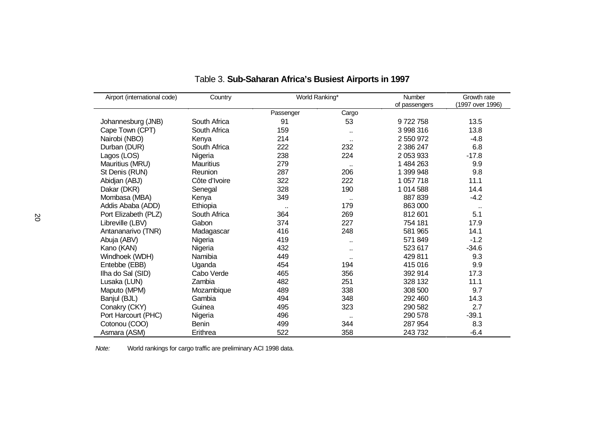| Airport (international code)<br>Country |                  | World Ranking* |                      | <b>Number</b> | Growth rate          |
|-----------------------------------------|------------------|----------------|----------------------|---------------|----------------------|
|                                         |                  |                |                      | of passengers | (1997 over 1996)     |
|                                         |                  | Passenger      | Cargo                |               |                      |
| Johannesburg (JNB)                      | South Africa     | 91             | 53                   | 9722758       | 13.5                 |
| Cape Town (CPT)                         | South Africa     | 159            | $\ddot{\phantom{1}}$ | 3998316       | 13.8                 |
| Nairobi (NBO)                           | Kenya            | 214            | $\sim$               | 2 550 972     | $-4.8$               |
| Durban (DUR)                            | South Africa     | 222            | 232                  | 2 386 247     | 6.8                  |
| Lagos (LOS)                             | Nigeria          | 238            | 224                  | 2 053 933     | $-17.8$              |
| Mauritius (MRU)                         | <b>Mauritius</b> | 279            | $\sim$               | 1 484 263     | 9.9                  |
| St Denis (RUN)                          | Reunion          | 287            | 206                  | 1 399 948     | 9.8                  |
| Abidjan (ABJ)                           | Côte d'Ivoire    | 322            | 222                  | 1 057 718     | 11.1                 |
| Dakar (DKR)                             | Senegal          | 328            | 190                  | 1014588       | 14.4                 |
| Mombasa (MBA)                           | Kenya            | 349            | $\ddot{\phantom{0}}$ | 887 839       | $-4.2$               |
| Addis Ababa (ADD)                       | Ethiopia         | $\sim$         | 179                  | 863 000       | $\ddot{\phantom{a}}$ |
| Port Elizabeth (PLZ)                    | South Africa     | 364            | 269                  | 812 601       | 5.1                  |
| Libreville (LBV)                        | Gabon            | 374            | 227                  | 754 181       | 17.9                 |
| Antananarivo (TNR)                      | Madagascar       | 416            | 248                  | 581 965       | 14.1                 |
| Abuja (ABV)                             | Nigeria          | 419            | ٠.                   | 571849        | $-1.2$               |
| Kano (KAN)                              | Nigeria          | 432            | ٠.                   | 523 617       | $-34.6$              |
| Windhoek (WDH)                          | Namibia          | 449            | $\cdot$ .            | 429 811       | 9.3                  |
| Entebbe (EBB)                           | Uganda           | 454            | 194                  | 415 016       | 9.9                  |
| Ilha do Sal (SID)                       | Cabo Verde       | 465            | 356                  | 392 914       | 17.3                 |
| Lusaka (LUN)                            | Zambia           | 482            | 251                  | 328 132       | 11.1                 |
| Maputo (MPM)                            | Mozambique       | 489            | 338                  | 308 500       | 9.7                  |
| Banjul (BJL)                            | Gambia           | 494            | 348                  | 292 460       | 14.3                 |
| Conakry (CKY)                           | Guinea           | 495            | 323                  | 290 582       | 2.7                  |
| Port Harcourt (PHC)                     | Nigeria          | 496            |                      | 290 578       | $-39.1$              |
| Cotonou (COO)                           | Benin            | 499            | 344                  | 287 954       | 8.3                  |
| Asmara (ASM)                            | Erithrea         | 522            | 358                  | 243732        | $-6.4$               |

# Table 3. **Sub-Saharan Africa's Busiest Airports in 1997**

Note: World rankings for cargo traffic are preliminary ACI 1998 data.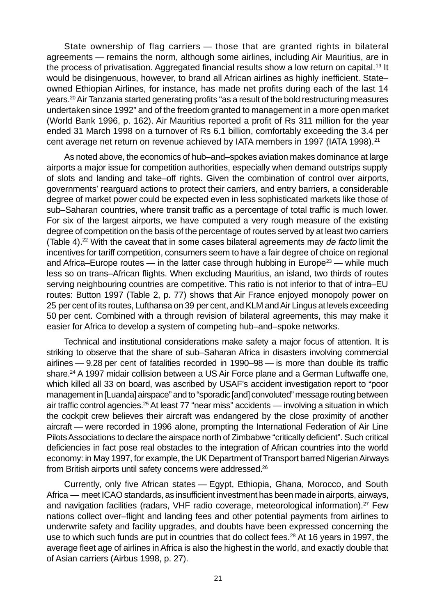State ownership of flag carriers — those that are granted rights in bilateral agreements — remains the norm, although some airlines, including Air Mauritius, are in the process of privatisation. Aggregated financial results show a low return on capital.<sup>19</sup> It would be disingenuous, however, to brand all African airlines as highly inefficient. State– owned Ethiopian Airlines, for instance, has made net profits during each of the last 14 years.20 Air Tanzania started generating profits "as a result of the bold restructuring measures undertaken since 1992" and of the freedom granted to management in a more open market (World Bank 1996, p. 162). Air Mauritius reported a profit of Rs 311 million for the year ended 31 March 1998 on a turnover of Rs 6.1 billion, comfortably exceeding the 3.4 per cent average net return on revenue achieved by IATA members in 1997 (IATA 1998).<sup>21</sup>

As noted above, the economics of hub–and–spokes aviation makes dominance at large airports a major issue for competition authorities, especially when demand outstrips supply of slots and landing and take–off rights. Given the combination of control over airports, governments' rearguard actions to protect their carriers, and entry barriers, a considerable degree of market power could be expected even in less sophisticated markets like those of sub–Saharan countries, where transit traffic as a percentage of total traffic is much lower. For six of the largest airports, we have computed a very rough measure of the existing degree of competition on the basis of the percentage of routes served by at least two carriers (Table 4).<sup>22</sup> With the caveat that in some cases bilateral agreements may de facto limit the incentives for tariff competition, consumers seem to have a fair degree of choice on regional and Africa–Europe routes — in the latter case through hubbing in Europe<sup>23</sup> — while much less so on trans–African flights. When excluding Mauritius, an island, two thirds of routes serving neighbouring countries are competitive. This ratio is not inferior to that of intra–EU routes: Button 1997 (Table 2, p. 77) shows that Air France enjoyed monopoly power on 25 per cent of its routes, Lufthansa on 39 per cent, and KLM and Air Lingus at levels exceeding 50 per cent. Combined with a through revision of bilateral agreements, this may make it easier for Africa to develop a system of competing hub–and–spoke networks.

Technical and institutional considerations make safety a major focus of attention. It is striking to observe that the share of sub–Saharan Africa in disasters involving commercial airlines — 9.28 per cent of fatalities recorded in 1990–98 — is more than double its traffic share.<sup>24</sup> A 1997 midair collision between a US Air Force plane and a German Luftwaffe one, which killed all 33 on board, was ascribed by USAF's accident investigation report to "poor management in [Luanda] airspace" and to "sporadic [and] convoluted" message routing between air traffic control agencies.25 At least 77 "near miss" accidents — involving a situation in which the cockpit crew believes their aircraft was endangered by the close proximity of another aircraft — were recorded in 1996 alone, prompting the International Federation of Air Line Pilots Associations to declare the airspace north of Zimbabwe "critically deficient". Such critical deficiencies in fact pose real obstacles to the integration of African countries into the world economy: in May 1997, for example, the UK Department of Transport barred Nigerian Airways from British airports until safety concerns were addressed.26

Currently, only five African states — Egypt, Ethiopia, Ghana, Morocco, and South Africa — meet ICAO standards, as insufficient investment has been made in airports, airways, and navigation facilities (radars, VHF radio coverage, meteorological information).<sup>27</sup> Few nations collect over–flight and landing fees and other potential payments from airlines to underwrite safety and facility upgrades, and doubts have been expressed concerning the use to which such funds are put in countries that do collect fees.<sup>28</sup> At 16 years in 1997, the average fleet age of airlines in Africa is also the highest in the world, and exactly double that of Asian carriers (Airbus 1998, p. 27).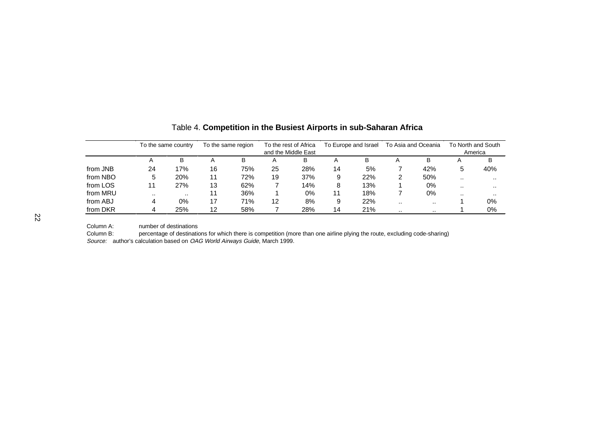|          |    | To the same country |    | To the same region |    | To the rest of Africa |    | To Europe and Israel |           | To Asia and Oceania |   | To North and South |
|----------|----|---------------------|----|--------------------|----|-----------------------|----|----------------------|-----------|---------------------|---|--------------------|
|          |    |                     |    |                    |    | and the Middle East   |    |                      |           |                     |   | America            |
|          | A  | B                   | A  | B                  | A  | B                     | A  | в                    | Α         | В                   | A | в                  |
| from JNB | 24 | 17%                 | 16 | 75%                | 25 | 28%                   | 14 | 5%                   |           | 42%                 |   | 40%                |
| from NBO | 5  | 20%                 | 11 | 72%                | 19 | 37%                   | 9  | 22%                  | 2         | 50%                 |   |                    |
| from LOS | 11 | 27%                 | 13 | 62%                |    | 14%                   | 8  | 13%                  |           | $0\%$               |   |                    |
| from MRU |    |                     | 11 | 36%                |    | 0%                    | 11 | 18%                  |           | $0\%$               |   |                    |
| from ABJ | 4  | 0%                  | 17 | 71%                | 12 | 8%                    | 9  | 22%                  | $\cdot$ . | $\cdot$ .           |   | 0%                 |
| from DKR |    | 25%                 | 12 | 58%                |    | 28%                   | 14 | 21%                  |           |                     |   | 0%                 |

Table 4. **Competition in the Busiest Airports in sub-Saharan Africa**

Column A: number of destinations<br>Column B: percentage of destination

 Column B: percentage of destinations for which there is competition (more than one airline plying the route, excluding code-sharing) Source: author's calculation based on *OAG World Airways Guide*, March 1999.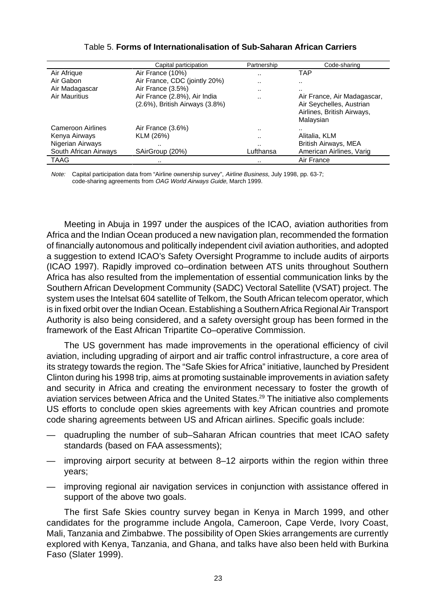|                       | Capital participation          | Partnership | Code-sharing                |
|-----------------------|--------------------------------|-------------|-----------------------------|
| Air Afrique           | Air France (10%)               |             | <b>TAP</b>                  |
| Air Gabon             | Air France, CDC (jointly 20%)  |             |                             |
| Air Madagascar        | Air France (3.5%)              |             | $\cdot$ .                   |
| <b>Air Mauritius</b>  | Air France (2.8%), Air India   |             | Air France, Air Madagascar, |
|                       | (2.6%), British Airways (3.8%) |             | Air Seychelles, Austrian    |
|                       |                                |             | Airlines, British Airways,  |
|                       |                                |             | Malaysian                   |
| Cameroon Airlines     | Air France (3.6%)              |             | $\cdot$ .                   |
| Kenya Airways         | KLM (26%)                      |             | Alitalia, KLM               |
| Nigerian Airways      | $\cdots$                       |             | British Airways, MEA        |
| South African Airways | SAirGroup (20%)                | Lufthansa   | American Airlines, Varig    |
| TAAG                  | $\cdot$ .                      |             | Air France                  |

#### Table 5. **Forms of Internationalisation of Sub-Saharan African Carriers**

Note: Capital participation data from "Airline ownership survey", Airline Business, July 1998, pp. 63-7; code-sharing agreements from OAG World Airways Guide, March 1999.

Meeting in Abuja in 1997 under the auspices of the ICAO, aviation authorities from Africa and the Indian Ocean produced a new navigation plan, recommended the formation of financially autonomous and politically independent civil aviation authorities, and adopted a suggestion to extend ICAO's Safety Oversight Programme to include audits of airports (ICAO 1997). Rapidly improved co–ordination between ATS units throughout Southern Africa has also resulted from the implementation of essential communication links by the Southern African Development Community (SADC) Vectoral Satellite (VSAT) project. The system uses the Intelsat 604 satellite of Telkom, the South African telecom operator, which is in fixed orbit over the Indian Ocean. Establishing a Southern Africa Regional Air Transport Authority is also being considered, and a safety oversight group has been formed in the framework of the East African Tripartite Co–operative Commission.

The US government has made improvements in the operational efficiency of civil aviation, including upgrading of airport and air traffic control infrastructure, a core area of its strategy towards the region. The "Safe Skies for Africa" initiative, launched by President Clinton during his 1998 trip, aims at promoting sustainable improvements in aviation safety and security in Africa and creating the environment necessary to foster the growth of aviation services between Africa and the United States.<sup>29</sup> The initiative also complements US efforts to conclude open skies agreements with key African countries and promote code sharing agreements between US and African airlines. Specific goals include:

- quadrupling the number of sub–Saharan African countries that meet ICAO safety standards (based on FAA assessments);
- improving airport security at between 8–12 airports within the region within three years;
- improving regional air navigation services in conjunction with assistance offered in support of the above two goals.

The first Safe Skies country survey began in Kenya in March 1999, and other candidates for the programme include Angola, Cameroon, Cape Verde, Ivory Coast, Mali, Tanzania and Zimbabwe. The possibility of Open Skies arrangements are currently explored with Kenya, Tanzania, and Ghana, and talks have also been held with Burkina Faso (Slater 1999).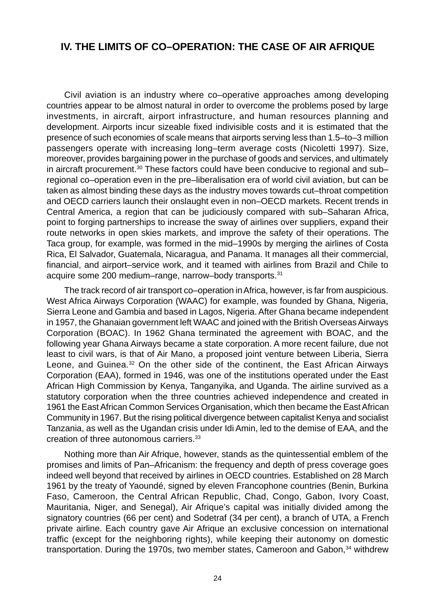## **IV. THE LIMITS OF CO–OPERATION: THE CASE OF AIR AFRIQUE**

Civil aviation is an industry where co–operative approaches among developing countries appear to be almost natural in order to overcome the problems posed by large investments, in aircraft, airport infrastructure, and human resources planning and development. Airports incur sizeable fixed indivisible costs and it is estimated that the presence of such economies of scale means that airports serving less than 1.5–to–3 million passengers operate with increasing long–term average costs (Nicoletti 1997). Size, moreover, provides bargaining power in the purchase of goods and services, and ultimately in aircraft procurement.<sup>30</sup> These factors could have been conducive to regional and subregional co–operation even in the pre–liberalisation era of world civil aviation, but can be taken as almost binding these days as the industry moves towards cut–throat competition and OECD carriers launch their onslaught even in non–OECD markets. Recent trends in Central America, a region that can be judiciously compared with sub–Saharan Africa, point to forging partnerships to increase the sway of airlines over suppliers, expand their route networks in open skies markets, and improve the safety of their operations. The Taca group, for example, was formed in the mid–1990s by merging the airlines of Costa Rica, El Salvador, Guatemala, Nicaragua, and Panama. It manages all their commercial, financial, and airport–service work, and it teamed with airlines from Brazil and Chile to acquire some 200 medium–range, narrow–body transports.<sup>31</sup>

The track record of air transport co–operation in Africa, however, is far from auspicious. West Africa Airways Corporation (WAAC) for example, was founded by Ghana, Nigeria, Sierra Leone and Gambia and based in Lagos, Nigeria. After Ghana became independent in 1957, the Ghanaian government left WAAC and joined with the British Overseas Airways Corporation (BOAC). In 1962 Ghana terminated the agreement with BOAC, and the following year Ghana Airways became a state corporation. A more recent failure, due not least to civil wars, is that of Air Mano, a proposed joint venture between Liberia, Sierra Leone, and Guinea.<sup>32</sup> On the other side of the continent, the East African Airways Corporation (EAA), formed in 1946, was one of the institutions operated under the East African High Commission by Kenya, Tanganyika, and Uganda. The airline survived as a statutory corporation when the three countries achieved independence and created in 1961 the East African Common Services Organisation, which then became the East African Community in 1967. But the rising political divergence between capitalist Kenya and socialist Tanzania, as well as the Ugandan crisis under Idi Amin, led to the demise of EAA, and the creation of three autonomous carriers.33

Nothing more than Air Afrique, however, stands as the quintessential emblem of the promises and limits of Pan–Africanism: the frequency and depth of press coverage goes indeed well beyond that received by airlines in OECD countries. Established on 28 March 1961 by the treaty of Yaoundé, signed by eleven Francophone countries (Benin, Burkina Faso, Cameroon, the Central African Republic, Chad, Congo, Gabon, Ivory Coast, Mauritania, Niger, and Senegal), Air Afrique's capital was initially divided among the signatory countries (66 per cent) and Sodetraf (34 per cent), a branch of UTA, a French private airline. Each country gave Air Afrique an exclusive concession on international traffic (except for the neighboring rights), while keeping their autonomy on domestic transportation. During the 1970s, two member states, Cameroon and Gabon,<sup>34</sup> withdrew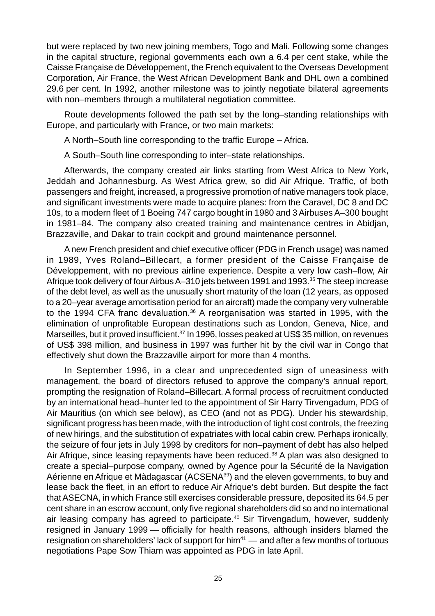but were replaced by two new joining members, Togo and Mali. Following some changes in the capital structure, regional governments each own a 6.4 per cent stake, while the Caisse Française de Développement, the French equivalent to the Overseas Development Corporation, Air France, the West African Development Bank and DHL own a combined 29.6 per cent. In 1992, another milestone was to jointly negotiate bilateral agreements with non–members through a multilateral negotiation committee.

Route developments followed the path set by the long–standing relationships with Europe, and particularly with France, or two main markets:

A North–South line corresponding to the traffic Europe – Africa.

A South–South line corresponding to inter–state relationships.

Afterwards, the company created air links starting from West Africa to New York, Jeddah and Johannesburg. As West Africa grew, so did Air Afrique. Traffic, of both passengers and freight, increased, a progressive promotion of native managers took place, and significant investments were made to acquire planes: from the Caravel, DC 8 and DC 10s, to a modern fleet of 1 Boeing 747 cargo bought in 1980 and 3 Airbuses A–300 bought in 1981–84. The company also created training and maintenance centres in Abidjan, Brazzaville, and Dakar to train cockpit and ground maintenance personnel.

A new French president and chief executive officer (PDG in French usage) was named in 1989, Yves Roland–Billecart, a former president of the Caisse Française de Développement, with no previous airline experience. Despite a very low cash–flow, Air Afrique took delivery of four Airbus A–310 jets between 1991 and 1993.<sup>35</sup> The steep increase of the debt level, as well as the unusually short maturity of the loan (12 years, as opposed to a 20–year average amortisation period for an aircraft) made the company very vulnerable to the 1994 CFA franc devaluation.<sup>36</sup> A reorganisation was started in 1995, with the elimination of unprofitable European destinations such as London, Geneva, Nice, and Marseilles, but it proved insufficient.<sup>37</sup> In 1996, losses peaked at US\$ 35 million, on revenues of US\$ 398 million, and business in 1997 was further hit by the civil war in Congo that effectively shut down the Brazzaville airport for more than 4 months.

In September 1996, in a clear and unprecedented sign of uneasiness with management, the board of directors refused to approve the company's annual report, prompting the resignation of Roland–Billecart. A formal process of recruitment conducted by an international head–hunter led to the appointment of Sir Harry Tirvengadum, PDG of Air Mauritius (on which see below), as CEO (and not as PDG). Under his stewardship, significant progress has been made, with the introduction of tight cost controls, the freezing of new hirings, and the substitution of expatriates with local cabin crew. Perhaps ironically, the seizure of four jets in July 1998 by creditors for non–payment of debt has also helped Air Afrique, since leasing repayments have been reduced.<sup>38</sup> A plan was also designed to create a special–purpose company, owned by Agence pour la Sécurité de la Navigation Aérienne en Afrique et Màdagascar (ACSENA<sup>39</sup>) and the eleven governments, to buy and lease back the fleet, in an effort to reduce Air Afrique's debt burden. But despite the fact that ASECNA, in which France still exercises considerable pressure, deposited its 64.5 per cent share in an escrow account, only five regional shareholders did so and no international air leasing company has agreed to participate.<sup>40</sup> Sir Tirvengadum, however, suddenly resigned in January 1999 — officially for health reasons, although insiders blamed the resignation on shareholders' lack of support for him<sup>41</sup> — and after a few months of tortuous negotiations Pape Sow Thiam was appointed as PDG in late April.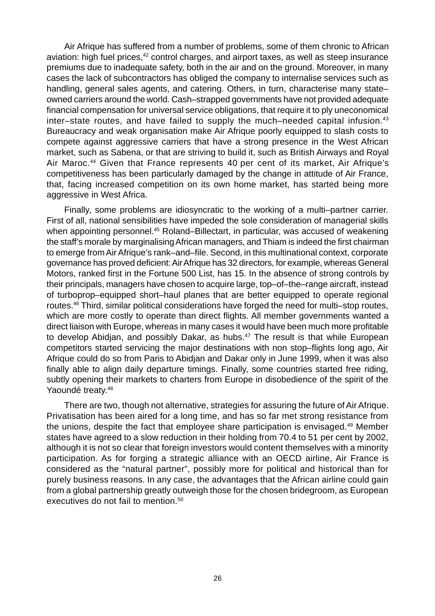Air Afrique has suffered from a number of problems, some of them chronic to African aviation: high fuel prices,<sup>42</sup> control charges, and airport taxes, as well as steep insurance premiums due to inadequate safety, both in the air and on the ground. Moreover, in many cases the lack of subcontractors has obliged the company to internalise services such as handling, general sales agents, and catering. Others, in turn, characterise many state– owned carriers around the world. Cash–strapped governments have not provided adequate financial compensation for universal service obligations, that require it to ply uneconomical inter–state routes, and have failed to supply the much–needed capital infusion.<sup>43</sup> Bureaucracy and weak organisation make Air Afrique poorly equipped to slash costs to compete against aggressive carriers that have a strong presence in the West African market, such as Sabena, or that are striving to build it, such as British Airways and Royal Air Maroc.44 Given that France represents 40 per cent of its market, Air Afrique's competitiveness has been particularly damaged by the change in attitude of Air France, that, facing increased competition on its own home market, has started being more aggressive in West Africa.

Finally, some problems are idiosyncratic to the working of a multi–partner carrier. First of all, national sensibilities have impeded the sole consideration of managerial skills when appointing personnel.<sup>45</sup> Roland–Billectart, in particular, was accused of weakening the staff's morale by marginalising African managers, and Thiam is indeed the first chairman to emerge from Air Afrique's rank–and–file. Second, in this multinational context, corporate governance has proved deficient: Air Afrique has 32 directors, for example, whereas General Motors, ranked first in the Fortune 500 List, has 15. In the absence of strong controls by their principals, managers have chosen to acquire large, top–of–the–range aircraft, instead of turboprop–equipped short–haul planes that are better equipped to operate regional routes.46 Third, similar political considerations have forged the need for multi–stop routes, which are more costly to operate than direct flights. All member governments wanted a direct liaison with Europe, whereas in many cases it would have been much more profitable to develop Abidjan, and possibly Dakar, as hubs.<sup>47</sup> The result is that while European competitors started servicing the major destinations with non stop–flights long ago, Air Afrique could do so from Paris to Abidjan and Dakar only in June 1999, when it was also finally able to align daily departure timings. Finally, some countries started free riding, subtly opening their markets to charters from Europe in disobedience of the spirit of the Yaoundé treaty.<sup>48</sup>

There are two, though not alternative, strategies for assuring the future of Air Afrique. Privatisation has been aired for a long time, and has so far met strong resistance from the unions, despite the fact that employee share participation is envisaged.49 Member states have agreed to a slow reduction in their holding from 70.4 to 51 per cent by 2002, although it is not so clear that foreign investors would content themselves with a minority participation. As for forging a strategic alliance with an OECD airline, Air France is considered as the "natural partner", possibly more for political and historical than for purely business reasons. In any case, the advantages that the African airline could gain from a global partnership greatly outweigh those for the chosen bridegroom, as European executives do not fail to mention.<sup>50</sup>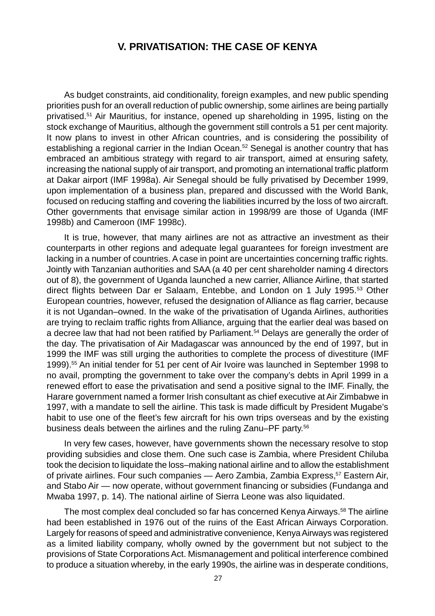## **V. PRIVATISATION: THE CASE OF KENYA**

As budget constraints, aid conditionality, foreign examples, and new public spending priorities push for an overall reduction of public ownership, some airlines are being partially privatised.51 Air Mauritius, for instance, opened up shareholding in 1995, listing on the stock exchange of Mauritius, although the government still controls a 51 per cent majority. It now plans to invest in other African countries, and is considering the possibility of establishing a regional carrier in the Indian Ocean.<sup>52</sup> Senegal is another country that has embraced an ambitious strategy with regard to air transport, aimed at ensuring safety, increasing the national supply of air transport, and promoting an international traffic platform at Dakar airport (IMF 1998a). Air Senegal should be fully privatised by December 1999, upon implementation of a business plan, prepared and discussed with the World Bank, focused on reducing staffing and covering the liabilities incurred by the loss of two aircraft. Other governments that envisage similar action in 1998/99 are those of Uganda (IMF 1998b) and Cameroon (IMF 1998c).

It is true, however, that many airlines are not as attractive an investment as their counterparts in other regions and adequate legal guarantees for foreign investment are lacking in a number of countries. A case in point are uncertainties concerning traffic rights. Jointly with Tanzanian authorities and SAA (a 40 per cent shareholder naming 4 directors out of 8), the government of Uganda launched a new carrier, Alliance Airline, that started direct flights between Dar er Salaam, Entebbe, and London on 1 July 1995.53 Other European countries, however, refused the designation of Alliance as flag carrier, because it is not Ugandan–owned. In the wake of the privatisation of Uganda Airlines, authorities are trying to reclaim traffic rights from Alliance, arguing that the earlier deal was based on a decree law that had not been ratified by Parliament.<sup>54</sup> Delays are generally the order of the day. The privatisation of Air Madagascar was announced by the end of 1997, but in 1999 the IMF was still urging the authorities to complete the process of divestiture (IMF 1999).55 An initial tender for 51 per cent of Air Ivoire was launched in September 1998 to no avail, prompting the government to take over the company's debts in April 1999 in a renewed effort to ease the privatisation and send a positive signal to the IMF. Finally, the Harare government named a former Irish consultant as chief executive at Air Zimbabwe in 1997, with a mandate to sell the airline. This task is made difficult by President Mugabe's habit to use one of the fleet's few aircraft for his own trips overseas and by the existing business deals between the airlines and the ruling Zanu–PF party.<sup>56</sup>

In very few cases, however, have governments shown the necessary resolve to stop providing subsidies and close them. One such case is Zambia, where President Chiluba took the decision to liquidate the loss–making national airline and to allow the establishment of private airlines. Four such companies — Aero Zambia, Zambia Express,<sup>57</sup> Eastern Air, and Stabo Air — now operate, without government financing or subsidies (Fundanga and Mwaba 1997, p. 14). The national airline of Sierra Leone was also liquidated.

The most complex deal concluded so far has concerned Kenya Airways.<sup>58</sup> The airline had been established in 1976 out of the ruins of the East African Airways Corporation. Largely for reasons of speed and administrative convenience, Kenya Airways was registered as a limited liability company, wholly owned by the government but not subject to the provisions of State Corporations Act. Mismanagement and political interference combined to produce a situation whereby, in the early 1990s, the airline was in desperate conditions,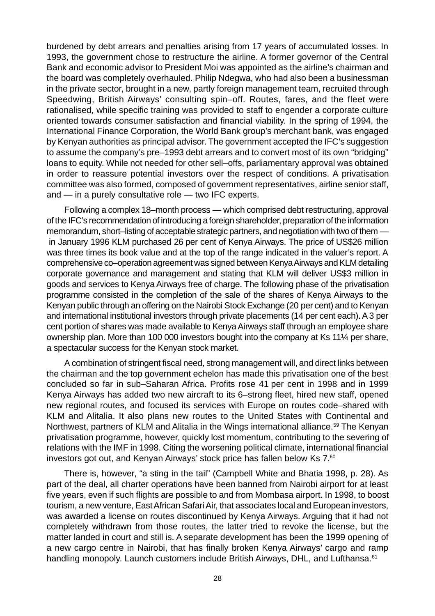burdened by debt arrears and penalties arising from 17 years of accumulated losses. In 1993, the government chose to restructure the airline. A former governor of the Central Bank and economic advisor to President Moi was appointed as the airline's chairman and the board was completely overhauled. Philip Ndegwa, who had also been a businessman in the private sector, brought in a new, partly foreign management team, recruited through Speedwing, British Airways' consulting spin–off. Routes, fares, and the fleet were rationalised, while specific training was provided to staff to engender a corporate culture oriented towards consumer satisfaction and financial viability. In the spring of 1994, the International Finance Corporation, the World Bank group's merchant bank, was engaged by Kenyan authorities as principal advisor. The government accepted the IFC's suggestion to assume the company's pre–1993 debt arrears and to convert most of its own "bridging" loans to equity. While not needed for other sell–offs, parliamentary approval was obtained in order to reassure potential investors over the respect of conditions. A privatisation committee was also formed, composed of government representatives, airline senior staff, and — in a purely consultative role — two IFC experts.

Following a complex 18–month process — which comprised debt restructuring, approval of the IFC's recommendation of introducing a foreign shareholder, preparation of the information memorandum, short–listing of acceptable strategic partners, and negotiation with two of them in January 1996 KLM purchased 26 per cent of Kenya Airways. The price of US\$26 million was three times its book value and at the top of the range indicated in the valuer's report. A comprehensive co–operation agreement was signed between Kenya Airways and KLM detailing corporate governance and management and stating that KLM will deliver US\$3 million in goods and services to Kenya Airways free of charge. The following phase of the privatisation programme consisted in the completion of the sale of the shares of Kenya Airways to the Kenyan public through an offering on the Nairobi Stock Exchange (20 per cent) and to Kenyan and international institutional investors through private placements (14 per cent each). A 3 per cent portion of shares was made available to Kenya Airways staff through an employee share ownership plan. More than 100 000 investors bought into the company at Ks 11¼ per share, a spectacular success for the Kenyan stock market.

A combination of stringent fiscal need, strong management will, and direct links between the chairman and the top government echelon has made this privatisation one of the best concluded so far in sub–Saharan Africa. Profits rose 41 per cent in 1998 and in 1999 Kenya Airways has added two new aircraft to its 6–strong fleet, hired new staff, opened new regional routes, and focused its services with Europe on routes code–shared with KLM and Alitalia. It also plans new routes to the United States with Continental and Northwest, partners of KLM and Alitalia in the Wings international alliance.<sup>59</sup> The Kenyan privatisation programme, however, quickly lost momentum, contributing to the severing of relations with the IMF in 1998. Citing the worsening political climate, international financial investors got out, and Kenyan Airways' stock price has fallen below Ks 7.<sup>60</sup>

There is, however, "a sting in the tail" (Campbell White and Bhatia 1998, p. 28). As part of the deal, all charter operations have been banned from Nairobi airport for at least five years, even if such flights are possible to and from Mombasa airport. In 1998, to boost tourism, a new venture, East African Safari Air, that associates local and European investors, was awarded a license on routes discontinued by Kenya Airways. Arguing that it had not completely withdrawn from those routes, the latter tried to revoke the license, but the matter landed in court and still is. A separate development has been the 1999 opening of a new cargo centre in Nairobi, that has finally broken Kenya Airways' cargo and ramp handling monopoly. Launch customers include British Airways, DHL, and Lufthansa.<sup>61</sup>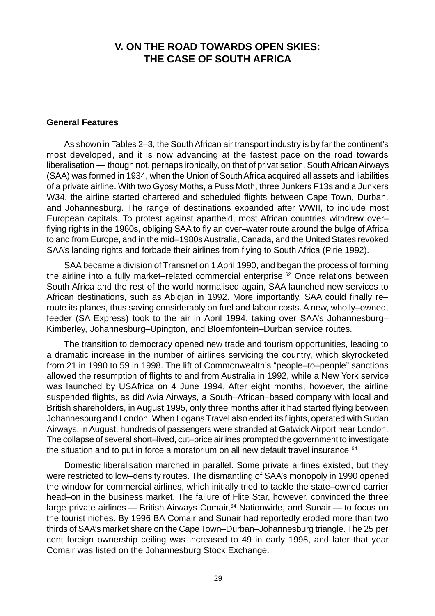# **V. ON THE ROAD TOWARDS OPEN SKIES: THE CASE OF SOUTH AFRICA**

#### **General Features**

As shown in Tables 2–3, the South African air transport industry is by far the continent's most developed, and it is now advancing at the fastest pace on the road towards liberalisation — though not, perhaps ironically, on that of privatisation. South African Airways (SAA) was formed in 1934, when the Union of South Africa acquired all assets and liabilities of a private airline. With two Gypsy Moths, a Puss Moth, three Junkers F13s and a Junkers W34, the airline started chartered and scheduled flights between Cape Town, Durban, and Johannesburg. The range of destinations expanded after WWII, to include most European capitals. To protest against apartheid, most African countries withdrew over– flying rights in the 1960s, obliging SAA to fly an over–water route around the bulge of Africa to and from Europe, and in the mid–1980s Australia, Canada, and the United States revoked SAA's landing rights and forbade their airlines from flying to South Africa (Pirie 1992).

SAA became a division of Transnet on 1 April 1990, and began the process of forming the airline into a fully market–related commercial enterprise.<sup>62</sup> Once relations between South Africa and the rest of the world normalised again, SAA launched new services to African destinations, such as Abidjan in 1992. More importantly, SAA could finally re– route its planes, thus saving considerably on fuel and labour costs. A new, wholly–owned, feeder (SA Express) took to the air in April 1994, taking over SAA's Johannesburg– Kimberley, Johannesburg–Upington, and Bloemfontein–Durban service routes.

The transition to democracy opened new trade and tourism opportunities, leading to a dramatic increase in the number of airlines servicing the country, which skyrocketed from 21 in 1990 to 59 in 1998. The lift of Commonwealth's "people–to–people" sanctions allowed the resumption of flights to and from Australia in 1992, while a New York service was launched by USAfrica on 4 June 1994. After eight months, however, the airline suspended flights, as did Avia Airways, a South–African–based company with local and British shareholders, in August 1995, only three months after it had started flying between Johannesburg and London. When Logans Travel also ended its flights, operated with Sudan Airways, in August, hundreds of passengers were stranded at Gatwick Airport near London. The collapse of several short–lived, cut–price airlines prompted the government to investigate the situation and to put in force a moratorium on all new default travel insurance.<sup>64</sup>

Domestic liberalisation marched in parallel. Some private airlines existed, but they were restricted to low–density routes. The dismantling of SAA's monopoly in 1990 opened the window for commercial airlines, which initially tried to tackle the state–owned carrier head–on in the business market. The failure of Flite Star, however, convinced the three large private airlines  $-$  British Airways Comair,<sup>64</sup> Nationwide, and Sunair  $-$  to focus on the tourist niches. By 1996 BA Comair and Sunair had reportedly eroded more than two thirds of SAA's market share on the Cape Town–Durban–Johannesburg triangle. The 25 per cent foreign ownership ceiling was increased to 49 in early 1998, and later that year Comair was listed on the Johannesburg Stock Exchange.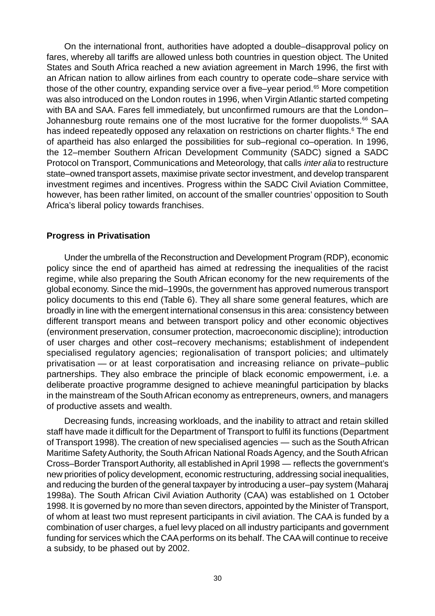On the international front, authorities have adopted a double–disapproval policy on fares, whereby all tariffs are allowed unless both countries in question object. The United States and South Africa reached a new aviation agreement in March 1996, the first with an African nation to allow airlines from each country to operate code–share service with those of the other country, expanding service over a five–year period.<sup>65</sup> More competition was also introduced on the London routes in 1996, when Virgin Atlantic started competing with BA and SAA. Fares fell immediately, but unconfirmed rumours are that the London– Johannesburg route remains one of the most lucrative for the former duopolists.<sup>66</sup> SAA has indeed repeatedly opposed any relaxation on restrictions on charter flights.<sup>6</sup> The end of apartheid has also enlarged the possibilities for sub–regional co–operation. In 1996, the 12–member Southern African Development Community (SADC) signed a SADC Protocol on Transport, Communications and Meteorology, that calls inter alia to restructure state–owned transport assets, maximise private sector investment, and develop transparent investment regimes and incentives. Progress within the SADC Civil Aviation Committee, however, has been rather limited, on account of the smaller countries' opposition to South Africa's liberal policy towards franchises.

### **Progress in Privatisation**

Under the umbrella of the Reconstruction and Development Program (RDP), economic policy since the end of apartheid has aimed at redressing the inequalities of the racist regime, while also preparing the South African economy for the new requirements of the global economy. Since the mid–1990s, the government has approved numerous transport policy documents to this end (Table 6). They all share some general features, which are broadly in line with the emergent international consensus in this area: consistency between different transport means and between transport policy and other economic objectives (environment preservation, consumer protection, macroeconomic discipline); introduction of user charges and other cost–recovery mechanisms; establishment of independent specialised regulatory agencies; regionalisation of transport policies; and ultimately privatisation — or at least corporatisation and increasing reliance on private–public partnerships. They also embrace the principle of black economic empowerment, i.e. a deliberate proactive programme designed to achieve meaningful participation by blacks in the mainstream of the South African economy as entrepreneurs, owners, and managers of productive assets and wealth.

Decreasing funds, increasing workloads, and the inability to attract and retain skilled staff have made it difficult for the Department of Transport to fulfil its functions (Department of Transport 1998). The creation of new specialised agencies — such as the South African Maritime Safety Authority, the South African National Roads Agency, and the South African Cross–Border Transport Authority, all established in April 1998 — reflects the government's new priorities of policy development, economic restructuring, addressing social inequalities, and reducing the burden of the general taxpayer by introducing a user–pay system (Maharaj 1998a). The South African Civil Aviation Authority (CAA) was established on 1 October 1998. It is governed by no more than seven directors, appointed by the Minister of Transport, of whom at least two must represent participants in civil aviation. The CAA is funded by a combination of user charges, a fuel levy placed on all industry participants and government funding for services which the CAA performs on its behalf. The CAA will continue to receive a subsidy, to be phased out by 2002.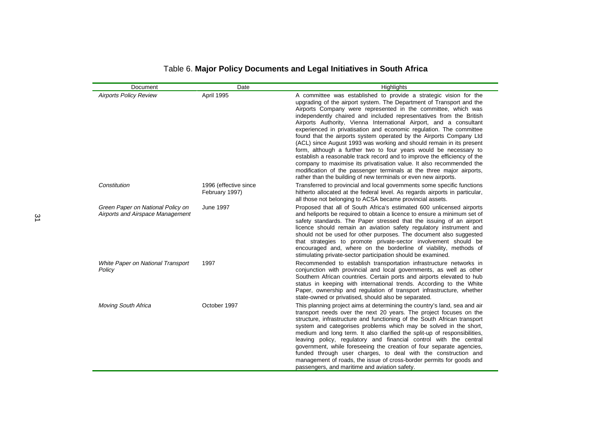| Document                                                              | Date                                    | Highlights                                                                                                                                                                                                                                                                                                                                                                                                                                                                                                                                                                                                                                                                                                                                                                                                                                                                                                                                       |
|-----------------------------------------------------------------------|-----------------------------------------|--------------------------------------------------------------------------------------------------------------------------------------------------------------------------------------------------------------------------------------------------------------------------------------------------------------------------------------------------------------------------------------------------------------------------------------------------------------------------------------------------------------------------------------------------------------------------------------------------------------------------------------------------------------------------------------------------------------------------------------------------------------------------------------------------------------------------------------------------------------------------------------------------------------------------------------------------|
| <b>Airports Policy Review</b>                                         | April 1995                              | A committee was established to provide a strategic vision for the<br>upgrading of the airport system. The Department of Transport and the<br>Airports Company were represented in the committee, which was<br>independently chaired and included representatives from the British<br>Airports Authority, Vienna International Airport, and a consultant<br>experienced in privatisation and economic regulation. The committee<br>found that the airports system operated by the Airports Company Ltd<br>(ACL) since August 1993 was working and should remain in its present<br>form, although a further two to four years would be necessary to<br>establish a reasonable track record and to improve the efficiency of the<br>company to maximise its privatisation value. It also recommended the<br>modification of the passenger terminals at the three major airports,<br>rather than the building of new terminals or even new airports. |
| Constitution                                                          | 1996 (effective since<br>February 1997) | Transferred to provincial and local governments some specific functions<br>hitherto allocated at the federal level. As regards airports in particular,<br>all those not belonging to ACSA became provincial assets.                                                                                                                                                                                                                                                                                                                                                                                                                                                                                                                                                                                                                                                                                                                              |
| Green Paper on National Policy on<br>Airports and Airspace Management | <b>June 1997</b>                        | Proposed that all of South Africa's estimated 600 unlicensed airports<br>and heliports be required to obtain a licence to ensure a minimum set of<br>safety standards. The Paper stressed that the issuing of an airport<br>licence should remain an aviation safety regulatory instrument and<br>should not be used for other purposes. The document also suggested<br>that strategies to promote private-sector involvement should be<br>encouraged and, where on the borderline of viability, methods of<br>stimulating private-sector participation should be examined.                                                                                                                                                                                                                                                                                                                                                                      |
| White Paper on National Transport<br>Policy                           | 1997                                    | Recommended to establish transportation infrastructure networks in<br>conjunction with provincial and local governments, as well as other<br>Southern African countries. Certain ports and airports elevated to hub<br>status in keeping with international trends. According to the White<br>Paper, ownership and regulation of transport infrastructure, whether<br>state-owned or privatised, should also be separated.                                                                                                                                                                                                                                                                                                                                                                                                                                                                                                                       |
| <b>Moving South Africa</b>                                            | October 1997                            | This planning project aims at determining the country's land, sea and air<br>transport needs over the next 20 years. The project focuses on the<br>structure, infrastructure and functioning of the South African transport<br>system and categorises problems which may be solved in the short,<br>medium and long term. It also clarified the split-up of responsibilities,<br>leaving policy, regulatory and financial control with the central<br>government, while foreseeing the creation of four separate agencies,<br>funded through user charges, to deal with the construction and<br>management of roads, the issue of cross-border permits for goods and<br>passengers, and maritime and aviation safety.                                                                                                                                                                                                                            |

# Table 6. **Major Policy Documents and Legal Initiatives in South Africa**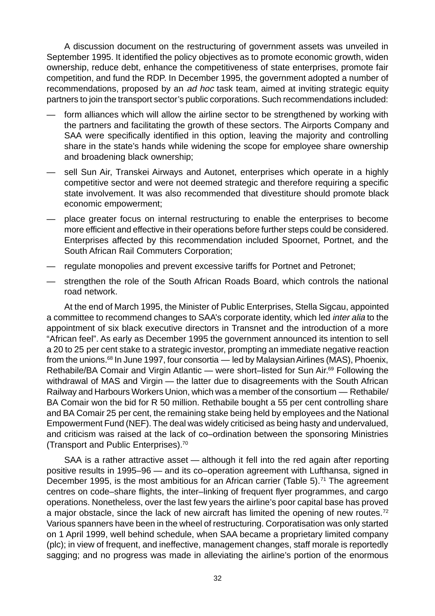A discussion document on the restructuring of government assets was unveiled in September 1995. It identified the policy objectives as to promote economic growth, widen ownership, reduce debt, enhance the competitiveness of state enterprises, promote fair competition, and fund the RDP. In December 1995, the government adopted a number of recommendations, proposed by an *ad hoc* task team, aimed at inviting strategic equity partners to join the transport sector's public corporations. Such recommendations included:

- form alliances which will allow the airline sector to be strengthened by working with the partners and facilitating the growth of these sectors. The Airports Company and SAA were specifically identified in this option, leaving the majority and controlling share in the state's hands while widening the scope for employee share ownership and broadening black ownership;
- sell Sun Air, Transkei Airways and Autonet, enterprises which operate in a highly competitive sector and were not deemed strategic and therefore requiring a specific state involvement. It was also recommended that divestiture should promote black economic empowerment;
- place greater focus on internal restructuring to enable the enterprises to become more efficient and effective in their operations before further steps could be considered. Enterprises affected by this recommendation included Spoornet, Portnet, and the South African Rail Commuters Corporation;
- regulate monopolies and prevent excessive tariffs for Portnet and Petronet;
- strengthen the role of the South African Roads Board, which controls the national road network.

At the end of March 1995, the Minister of Public Enterprises, Stella Sigcau, appointed a committee to recommend changes to SAA's corporate identity, which led *inter alia* to the appointment of six black executive directors in Transnet and the introduction of a more "African feel". As early as December 1995 the government announced its intention to sell a 20 to 25 per cent stake to a strategic investor, prompting an immediate negative reaction from the unions.68 In June 1997, four consortia — led by Malaysian Airlines (MAS), Phoenix, Rethabile/BA Comair and Virgin Atlantic — were short-listed for Sun Air.<sup>69</sup> Following the withdrawal of MAS and Virgin — the latter due to disagreements with the South African Railway and Harbours Workers Union, which was a member of the consortium — Rethabile/ BA Comair won the bid for R 50 million. Rethabile bought a 55 per cent controlling share and BA Comair 25 per cent, the remaining stake being held by employees and the National Empowerment Fund (NEF). The deal was widely criticised as being hasty and undervalued, and criticism was raised at the lack of co–ordination between the sponsoring Ministries (Transport and Public Enterprises).70

SAA is a rather attractive asset — although it fell into the red again after reporting positive results in 1995–96 — and its co–operation agreement with Lufthansa, signed in December 1995, is the most ambitious for an African carrier (Table 5).<sup>71</sup> The agreement centres on code–share flights, the inter–linking of frequent flyer programmes, and cargo operations. Nonetheless, over the last few years the airline's poor capital base has proved a major obstacle, since the lack of new aircraft has limited the opening of new routes.<sup>72</sup> Various spanners have been in the wheel of restructuring. Corporatisation was only started on 1 April 1999, well behind schedule, when SAA became a proprietary limited company (plc); in view of frequent, and ineffective, management changes, staff morale is reportedly sagging; and no progress was made in alleviating the airline's portion of the enormous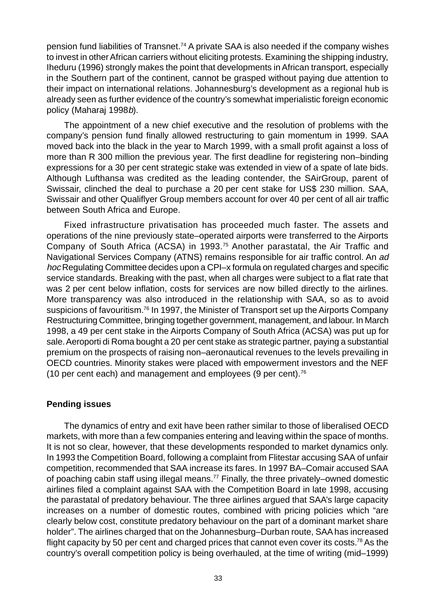pension fund liabilities of Transnet.74 A private SAA is also needed if the company wishes to invest in other African carriers without eliciting protests. Examining the shipping industry, Iheduru (1996) strongly makes the point that developments in African transport, especially in the Southern part of the continent, cannot be grasped without paying due attention to their impact on international relations. Johannesburg's development as a regional hub is already seen as further evidence of the country's somewhat imperialistic foreign economic policy (Maharaj 1998b).

The appointment of a new chief executive and the resolution of problems with the company's pension fund finally allowed restructuring to gain momentum in 1999. SAA moved back into the black in the year to March 1999, with a small profit against a loss of more than R 300 million the previous year. The first deadline for registering non–binding expressions for a 30 per cent strategic stake was extended in view of a spate of late bids. Although Lufthansa was credited as the leading contender, the SAirGroup, parent of Swissair, clinched the deal to purchase a 20 per cent stake for US\$ 230 million. SAA, Swissair and other Qualiflyer Group members account for over 40 per cent of all air traffic between South Africa and Europe.

Fixed infrastructure privatisation has proceeded much faster. The assets and operations of the nine previously state–operated airports were transferred to the Airports Company of South Africa (ACSA) in 1993.75 Another parastatal, the Air Traffic and Navigational Services Company (ATNS) remains responsible for air traffic control. An ad hoc Regulating Committee decides upon a CPI–x formula on regulated charges and specific service standards. Breaking with the past, when all charges were subject to a flat rate that was 2 per cent below inflation, costs for services are now billed directly to the airlines. More transparency was also introduced in the relationship with SAA, so as to avoid suspicions of favouritism.<sup>76</sup> In 1997, the Minister of Transport set up the Airports Company Restructuring Committee, bringing together government, management, and labour. In March 1998, a 49 per cent stake in the Airports Company of South Africa (ACSA) was put up for sale. Aeroporti di Roma bought a 20 per cent stake as strategic partner, paying a substantial premium on the prospects of raising non–aeronautical revenues to the levels prevailing in OECD countries. Minority stakes were placed with empowerment investors and the NEF (10 per cent each) and management and employees (9 per cent). $76$ 

### **Pending issues**

The dynamics of entry and exit have been rather similar to those of liberalised OECD markets, with more than a few companies entering and leaving within the space of months. It is not so clear, however, that these developments responded to market dynamics only. In 1993 the Competition Board, following a complaint from Flitestar accusing SAA of unfair competition, recommended that SAA increase its fares. In 1997 BA–Comair accused SAA of poaching cabin staff using illegal means.<sup>77</sup> Finally, the three privately–owned domestic airlines filed a complaint against SAA with the Competition Board in late 1998, accusing the parastatal of predatory behaviour. The three airlines argued that SAA's large capacity increases on a number of domestic routes, combined with pricing policies which "are clearly below cost, constitute predatory behaviour on the part of a dominant market share holder". The airlines charged that on the Johannesburg–Durban route, SAA has increased flight capacity by 50 per cent and charged prices that cannot even cover its costs.<sup>78</sup> As the country's overall competition policy is being overhauled, at the time of writing (mid–1999)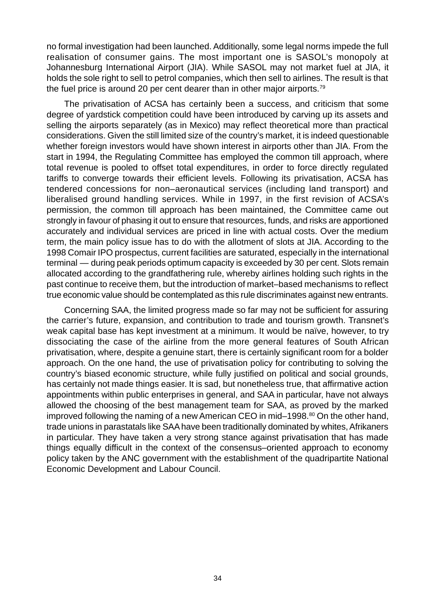no formal investigation had been launched. Additionally, some legal norms impede the full realisation of consumer gains. The most important one is SASOL's monopoly at Johannesburg International Airport (JIA). While SASOL may not market fuel at JIA, it holds the sole right to sell to petrol companies, which then sell to airlines. The result is that the fuel price is around 20 per cent dearer than in other major airports.<sup>79</sup>

The privatisation of ACSA has certainly been a success, and criticism that some degree of yardstick competition could have been introduced by carving up its assets and selling the airports separately (as in Mexico) may reflect theoretical more than practical considerations. Given the still limited size of the country's market, it is indeed questionable whether foreign investors would have shown interest in airports other than JIA. From the start in 1994, the Regulating Committee has employed the common till approach, where total revenue is pooled to offset total expenditures, in order to force directly regulated tariffs to converge towards their efficient levels. Following its privatisation, ACSA has tendered concessions for non–aeronautical services (including land transport) and liberalised ground handling services. While in 1997, in the first revision of ACSA's permission, the common till approach has been maintained, the Committee came out strongly in favour of phasing it out to ensure that resources, funds, and risks are apportioned accurately and individual services are priced in line with actual costs. Over the medium term, the main policy issue has to do with the allotment of slots at JIA. According to the 1998 Comair IPO prospectus, current facilities are saturated, especially in the international terminal — during peak periods optimum capacity is exceeded by 30 per cent. Slots remain allocated according to the grandfathering rule, whereby airlines holding such rights in the past continue to receive them, but the introduction of market–based mechanisms to reflect true economic value should be contemplated as this rule discriminates against new entrants.

Concerning SAA, the limited progress made so far may not be sufficient for assuring the carrier's future, expansion, and contribution to trade and tourism growth. Transnet's weak capital base has kept investment at a minimum. It would be naïve, however, to try dissociating the case of the airline from the more general features of South African privatisation, where, despite a genuine start, there is certainly significant room for a bolder approach. On the one hand, the use of privatisation policy for contributing to solving the country's biased economic structure, while fully justified on political and social grounds, has certainly not made things easier. It is sad, but nonetheless true, that affirmative action appointments within public enterprises in general, and SAA in particular, have not always allowed the choosing of the best management team for SAA, as proved by the marked improved following the naming of a new American CEO in mid-1998.<sup>80</sup> On the other hand, trade unions in parastatals like SAA have been traditionally dominated by whites, Afrikaners in particular. They have taken a very strong stance against privatisation that has made things equally difficult in the context of the consensus–oriented approach to economy policy taken by the ANC government with the establishment of the quadripartite National Economic Development and Labour Council.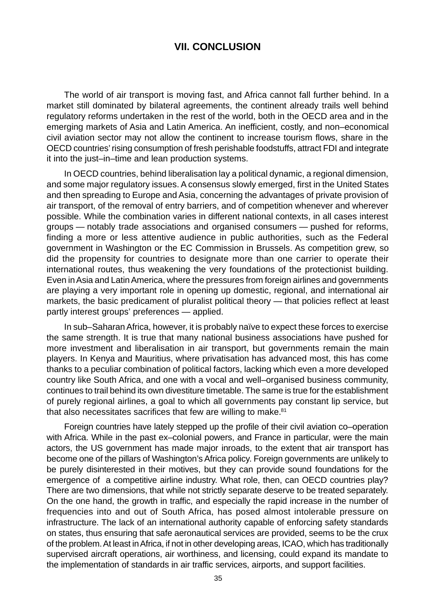# **VII. CONCLUSION**

The world of air transport is moving fast, and Africa cannot fall further behind. In a market still dominated by bilateral agreements, the continent already trails well behind regulatory reforms undertaken in the rest of the world, both in the OECD area and in the emerging markets of Asia and Latin America. An inefficient, costly, and non–economical civil aviation sector may not allow the continent to increase tourism flows, share in the OECD countries' rising consumption of fresh perishable foodstuffs, attract FDI and integrate it into the just–in–time and lean production systems.

In OECD countries, behind liberalisation lay a political dynamic, a regional dimension, and some major regulatory issues. A consensus slowly emerged, first in the United States and then spreading to Europe and Asia, concerning the advantages of private provision of air transport, of the removal of entry barriers, and of competition whenever and wherever possible. While the combination varies in different national contexts, in all cases interest groups — notably trade associations and organised consumers — pushed for reforms, finding a more or less attentive audience in public authorities, such as the Federal government in Washington or the EC Commission in Brussels. As competition grew, so did the propensity for countries to designate more than one carrier to operate their international routes, thus weakening the very foundations of the protectionist building. Even in Asia and Latin America, where the pressures from foreign airlines and governments are playing a very important role in opening up domestic, regional, and international air markets, the basic predicament of pluralist political theory — that policies reflect at least partly interest groups' preferences — applied.

In sub–Saharan Africa, however, it is probably naïve to expect these forces to exercise the same strength. It is true that many national business associations have pushed for more investment and liberalisation in air transport, but governments remain the main players. In Kenya and Mauritius, where privatisation has advanced most, this has come thanks to a peculiar combination of political factors, lacking which even a more developed country like South Africa, and one with a vocal and well–organised business community, continues to trail behind its own divestiture timetable. The same is true for the establishment of purely regional airlines, a goal to which all governments pay constant lip service, but that also necessitates sacrifices that few are willing to make.<sup>81</sup>

Foreign countries have lately stepped up the profile of their civil aviation co–operation with Africa. While in the past ex–colonial powers, and France in particular, were the main actors, the US government has made major inroads, to the extent that air transport has become one of the pillars of Washington's Africa policy. Foreign governments are unlikely to be purely disinterested in their motives, but they can provide sound foundations for the emergence of a competitive airline industry. What role, then, can OECD countries play? There are two dimensions, that while not strictly separate deserve to be treated separately. On the one hand, the growth in traffic, and especially the rapid increase in the number of frequencies into and out of South Africa, has posed almost intolerable pressure on infrastructure. The lack of an international authority capable of enforcing safety standards on states, thus ensuring that safe aeronautical services are provided, seems to be the crux of the problem. At least in Africa, if not in other developing areas, ICAO, which has traditionally supervised aircraft operations, air worthiness, and licensing, could expand its mandate to the implementation of standards in air traffic services, airports, and support facilities.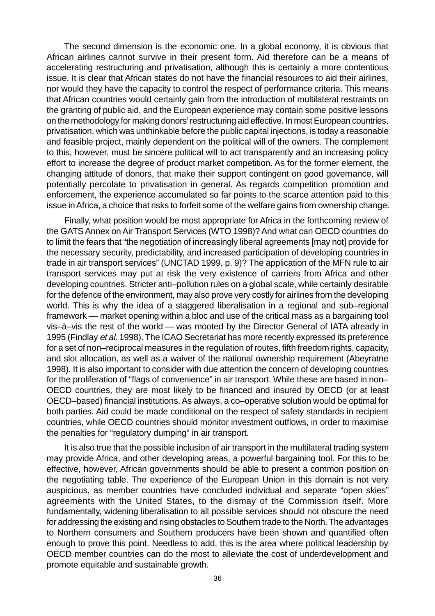The second dimension is the economic one. In a global economy, it is obvious that African airlines cannot survive in their present form. Aid therefore can be a means of accelerating restructuring and privatisation, although this is certainly a more contentious issue. It is clear that African states do not have the financial resources to aid their airlines, nor would they have the capacity to control the respect of performance criteria. This means that African countries would certainly gain from the introduction of multilateral restraints on the granting of public aid, and the European experience may contain some positive lessons on the methodology for making donors' restructuring aid effective. In most European countries, privatisation, which was unthinkable before the public capital injections, is today a reasonable and feasible project, mainly dependent on the political will of the owners. The complement to this, however, must be sincere political will to act transparently and an increasing policy effort to increase the degree of product market competition. As for the former element, the changing attitude of donors, that make their support contingent on good governance, will potentially percolate to privatisation in general. As regards competition promotion and enforcement, the experience accumulated so far points to the scarce attention paid to this issue in Africa, a choice that risks to forfeit some of the welfare gains from ownership change.

Finally, what position would be most appropriate for Africa in the forthcoming review of the GATS Annex on Air Transport Services (WTO 1998)? And what can OECD countries do to limit the fears that "the negotiation of increasingly liberal agreements [may not] provide for the necessary security, predictability, and increased participation of developing countries in trade in air transport services" (UNCTAD 1999, p. 9)? The application of the MFN rule to air transport services may put at risk the very existence of carriers from Africa and other developing countries. Stricter anti–pollution rules on a global scale, while certainly desirable for the defence of the environment, may also prove very costly for airlines from the developing world. This is why the idea of a staggered liberalisation in a regional and sub–regional framework — market opening within a bloc and use of the critical mass as a bargaining tool vis–à–vis the rest of the world — was mooted by the Director General of IATA already in 1995 (Findlay et al. 1998). The ICAO Secretariat has more recently expressed its preference for a set of non–reciprocal measures in the regulation of routes, fifth freedom rights, capacity, and slot allocation, as well as a waiver of the national ownership requirement (Abeyratne 1998). It is also important to consider with due attention the concern of developing countries for the proliferation of "flags of convenience" in air transport. While these are based in non-OECD countries, they are most likely to be financed and insured by OECD (or at least OECD–based) financial institutions. As always, a co–operative solution would be optimal for both parties. Aid could be made conditional on the respect of safety standards in recipient countries, while OECD countries should monitor investment outflows, in order to maximise the penalties for "regulatory dumping" in air transport.

It is also true that the possible inclusion of air transport in the multilateral trading system may provide Africa, and other developing areas, a powerful bargaining tool. For this to be effective, however, African governments should be able to present a common position on the negotiating table. The experience of the European Union in this domain is not very auspicious, as member countries have concluded individual and separate "open skies" agreements with the United States, to the dismay of the Commission itself. More fundamentally, widening liberalisation to all possible services should not obscure the need for addressing the existing and rising obstacles to Southern trade to the North. The advantages to Northern consumers and Southern producers have been shown and quantified often enough to prove this point. Needless to add, this is the area where political leadership by OECD member countries can do the most to alleviate the cost of underdevelopment and promote equitable and sustainable growth.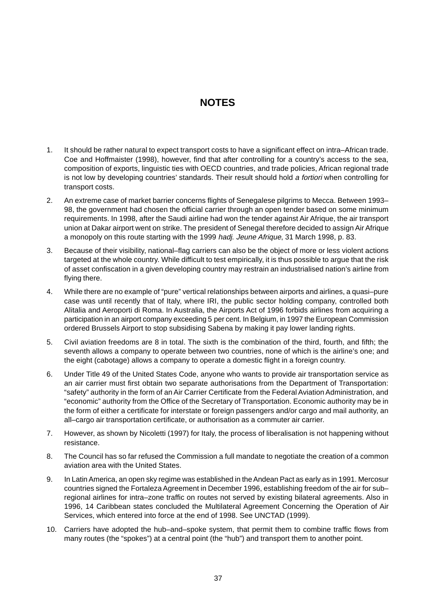# **NOTES**

- 1. It should be rather natural to expect transport costs to have a significant effect on intra–African trade. Coe and Hoffmaister (1998), however, find that after controlling for a country's access to the sea, composition of exports, linguistic ties with OECD countries, and trade policies, African regional trade is not low by developing countries' standards. Their result should hold a fortiori when controlling for transport costs.
- 2. An extreme case of market barrier concerns flights of Senegalese pilgrims to Mecca. Between 1993– 98, the government had chosen the official carrier through an open tender based on some minimum requirements. In 1998, after the Saudi airline had won the tender against Air Afrique, the air transport union at Dakar airport went on strike. The president of Senegal therefore decided to assign Air Afrique a monopoly on this route starting with the 1999 hadj. Jeune Afrique, 31 March 1998, p. 83.
- 3. Because of their visibility, national–flag carriers can also be the object of more or less violent actions targeted at the whole country. While difficult to test empirically, it is thus possible to argue that the risk of asset confiscation in a given developing country may restrain an industrialised nation's airline from flying there.
- 4. While there are no example of "pure" vertical relationships between airports and airlines, a quasi–pure case was until recently that of Italy, where IRI, the public sector holding company, controlled both Alitalia and Aeroporti di Roma. In Australia, the Airports Act of 1996 forbids airlines from acquiring a participation in an airport company exceeding 5 per cent. In Belgium, in 1997 the European Commission ordered Brussels Airport to stop subsidising Sabena by making it pay lower landing rights.
- 5. Civil aviation freedoms are 8 in total. The sixth is the combination of the third, fourth, and fifth; the seventh allows a company to operate between two countries, none of which is the airline's one; and the eight (cabotage) allows a company to operate a domestic flight in a foreign country.
- 6. Under Title 49 of the United States Code, anyone who wants to provide air transportation service as an air carrier must first obtain two separate authorisations from the Department of Transportation: "safety" authority in the form of an Air Carrier Certificate from the Federal Aviation Administration, and "economic" authority from the Office of the Secretary of Transportation. Economic authority may be in the form of either a certificate for interstate or foreign passengers and/or cargo and mail authority, an all–cargo air transportation certificate, or authorisation as a commuter air carrier.
- 7. However, as shown by Nicoletti (1997) for Italy, the process of liberalisation is not happening without resistance.
- 8. The Council has so far refused the Commission a full mandate to negotiate the creation of a common aviation area with the United States.
- 9. In Latin America, an open sky regime was established in the Andean Pact as early as in 1991. Mercosur countries signed the Fortaleza Agreement in December 1996, establishing freedom of the air for sub– regional airlines for intra–zone traffic on routes not served by existing bilateral agreements. Also in 1996, 14 Caribbean states concluded the Multilateral Agreement Concerning the Operation of Air Services, which entered into force at the end of 1998. See UNCTAD (1999).
- 10. Carriers have adopted the hub–and–spoke system, that permit them to combine traffic flows from many routes (the "spokes") at a central point (the "hub") and transport them to another point.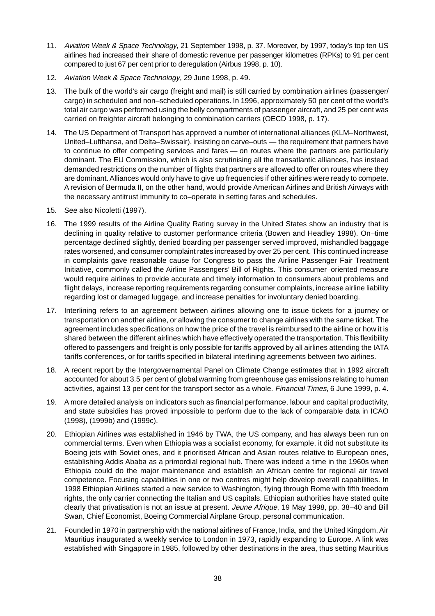- 11. Aviation Week & Space Technology, 21 September 1998, p. 37. Moreover, by 1997, today's top ten US airlines had increased their share of domestic revenue per passenger kilometres (RPKs) to 91 per cent compared to just 67 per cent prior to deregulation (Airbus 1998, p. 10).
- 12. Aviation Week & Space Technology, 29 June 1998, p. 49.
- 13. The bulk of the world's air cargo (freight and mail) is still carried by combination airlines (passenger/ cargo) in scheduled and non–scheduled operations. In 1996, approximately 50 per cent of the world's total air cargo was performed using the belly compartments of passenger aircraft, and 25 per cent was carried on freighter aircraft belonging to combination carriers (OECD 1998, p. 17).
- 14. The US Department of Transport has approved a number of international alliances (KLM–Northwest, United–Lufthansa, and Delta–Swissair), insisting on carve–outs — the requirement that partners have to continue to offer competing services and fares — on routes where the partners are particularly dominant. The EU Commission, which is also scrutinising all the transatlantic alliances, has instead demanded restrictions on the number of flights that partners are allowed to offer on routes where they are dominant. Alliances would only have to give up frequencies if other airlines were ready to compete. A revision of Bermuda II, on the other hand, would provide American Airlines and British Airways with the necessary antitrust immunity to co–operate in setting fares and schedules.
- 15. See also Nicoletti (1997).
- 16. The 1999 results of the Airline Quality Rating survey in the United States show an industry that is declining in quality relative to customer performance criteria (Bowen and Headley 1998). On–time percentage declined slightly, denied boarding per passenger served improved, mishandled baggage rates worsened, and consumer complaint rates increased by over 25 per cent. This continued increase in complaints gave reasonable cause for Congress to pass the Airline Passenger Fair Treatment Initiative, commonly called the Airline Passengers' Bill of Rights. This consumer–oriented measure would require airlines to provide accurate and timely information to consumers about problems and flight delays, increase reporting requirements regarding consumer complaints, increase airline liability regarding lost or damaged luggage, and increase penalties for involuntary denied boarding.
- 17. Interlining refers to an agreement between airlines allowing one to issue tickets for a journey or transportation on another airline, or allowing the consumer to change airlines with the same ticket. The agreement includes specifications on how the price of the travel is reimbursed to the airline or how it is shared between the different airlines which have effectively operated the transportation. This flexibility offered to passengers and freight is only possible for tariffs approved by all airlines attending the IATA tariffs conferences, or for tariffs specified in bilateral interlining agreements between two airlines.
- 18. A recent report by the Intergovernamental Panel on Climate Change estimates that in 1992 aircraft accounted for about 3.5 per cent of global warming from greenhouse gas emissions relating to human activities, against 13 per cent for the transport sector as a whole. Financial Times, 6 June 1999, p. 4.
- 19. A more detailed analysis on indicators such as financial performance, labour and capital productivity, and state subsidies has proved impossible to perform due to the lack of comparable data in ICAO (1998), (1999b) and (1999c).
- 20. Ethiopian Airlines was established in 1946 by TWA, the US company, and has always been run on commercial terms. Even when Ethiopia was a socialist economy, for example, it did not substitute its Boeing jets with Soviet ones, and it prioritised African and Asian routes relative to European ones, establishing Addis Ababa as a primordial regional hub. There was indeed a time in the 1960s when Ethiopia could do the major maintenance and establish an African centre for regional air travel competence. Focusing capabilities in one or two centres might help develop overall capabilities. In 1998 Ethiopian Airlines started a new service to Washington, flying through Rome with fifth freedom rights, the only carrier connecting the Italian and US capitals. Ethiopian authorities have stated quite clearly that privatisation is not an issue at present. Jeune Afrique, 19 May 1998, pp. 38–40 and Bill Swan, Chief Economist, Boeing Commercial Airplane Group, personal communication.
- 21. Founded in 1970 in partnership with the national airlines of France, India, and the United Kingdom, Air Mauritius inaugurated a weekly service to London in 1973, rapidly expanding to Europe. A link was established with Singapore in 1985, followed by other destinations in the area, thus setting Mauritius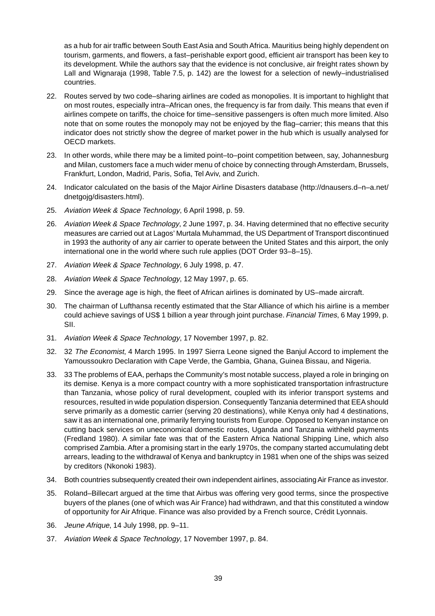as a hub for air traffic between South East Asia and South Africa. Mauritius being highly dependent on tourism, garments, and flowers, a fast–perishable export good, efficient air transport has been key to its development. While the authors say that the evidence is not conclusive, air freight rates shown by Lall and Wignaraja (1998, Table 7.5, p. 142) are the lowest for a selection of newly–industrialised countries.

- 22. Routes served by two code–sharing airlines are coded as monopolies. It is important to highlight that on most routes, especially intra–African ones, the frequency is far from daily. This means that even if airlines compete on tariffs, the choice for time–sensitive passengers is often much more limited. Also note that on some routes the monopoly may not be enjoyed by the flag–carrier; this means that this indicator does not strictly show the degree of market power in the hub which is usually analysed for OECD markets.
- 23. In other words, while there may be a limited point–to–point competition between, say, Johannesburg and Milan, customers face a much wider menu of choice by connecting through Amsterdam, Brussels, Frankfurt, London, Madrid, Paris, Sofia, Tel Aviv, and Zurich.
- 24. Indicator calculated on the basis of the Major Airline Disasters database (http://dnausers.d–n–a.net/ dnetgojg/disasters.html).
- 25. Aviation Week & Space Technology, 6 April 1998, p. 59.
- 26. Aviation Week & Space Technology, 2 June 1997, p. 34. Having determined that no effective security measures are carried out at Lagos' Murtala Muhammad, the US Department of Transport discontinued in 1993 the authority of any air carrier to operate between the United States and this airport, the only international one in the world where such rule applies (DOT Order 93–8–15).
- 27. Aviation Week & Space Technology, 6 July 1998, p. 47.
- 28. Aviation Week & Space Technology, 12 May 1997, p. 65.
- 29. Since the average age is high, the fleet of African airlines is dominated by US–made aircraft.
- 30. The chairman of Lufthansa recently estimated that the Star Alliance of which his airline is a member could achieve savings of US\$ 1 billion a year through joint purchase. Financial Times, 6 May 1999, p. SII.
- 31. Aviation Week & Space Technology, 17 November 1997, p. 82.
- 32. 32 The Economist, 4 March 1995. In 1997 Sierra Leone signed the Banjul Accord to implement the Yamoussoukro Declaration with Cape Verde, the Gambia, Ghana, Guinea Bissau, and Nigeria.
- 33. 33 The problems of EAA, perhaps the Community's most notable success, played a role in bringing on its demise. Kenya is a more compact country with a more sophisticated transportation infrastructure than Tanzania, whose policy of rural development, coupled with its inferior transport systems and resources, resulted in wide population dispersion. Consequently Tanzania determined that EEA should serve primarily as a domestic carrier (serving 20 destinations), while Kenya only had 4 destinations, saw it as an international one, primarily ferrying tourists from Europe. Opposed to Kenyan instance on cutting back services on uneconomical domestic routes, Uganda and Tanzania withheld payments (Fredland 1980). A similar fate was that of the Eastern Africa National Shipping Line, which also comprised Zambia. After a promising start in the early 1970s, the company started accumulating debt arrears, leading to the withdrawal of Kenya and bankruptcy in 1981 when one of the ships was seized by creditors (Nkonoki 1983).
- 34. Both countries subsequently created their own independent airlines, associating Air France as investor.
- 35. Roland–Billecart argued at the time that Airbus was offering very good terms, since the prospective buyers of the planes (one of which was Air France) had withdrawn, and that this constituted a window of opportunity for Air Afrique. Finance was also provided by a French source, Crédit Lyonnais.
- 36. Jeune Afrique, 14 July 1998, pp. 9–11.
- 37. Aviation Week & Space Technology, 17 November 1997, p. 84.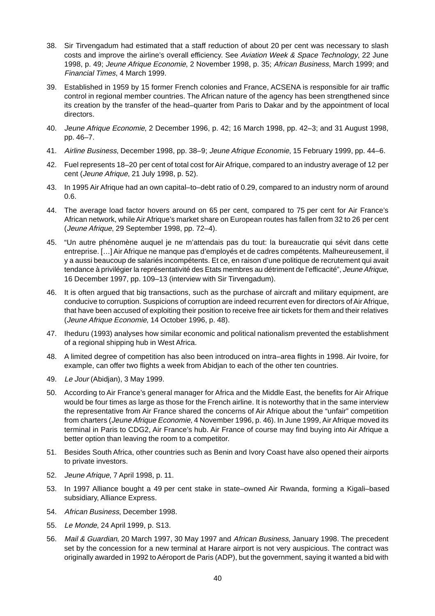- 38. Sir Tirvengadum had estimated that a staff reduction of about 20 per cent was necessary to slash costs and improve the airline's overall efficiency. See Aviation Week & Space Technology, 22 June 1998, p. 49; Jeune Afrique Economie, 2 November 1998, p. 35; African Business, March 1999; and Financial Times, 4 March 1999.
- 39. Established in 1959 by 15 former French colonies and France, ACSENA is responsible for air traffic control in regional member countries. The African nature of the agency has been strengthened since its creation by the transfer of the head–quarter from Paris to Dakar and by the appointment of local directors.
- 40. Jeune Afrique Economie, 2 December 1996, p. 42; 16 March 1998, pp. 42–3; and 31 August 1998, pp. 46–7.
- 41. Airline Business, December 1998, pp. 38–9; Jeune Afrique Economie, 15 February 1999, pp. 44–6.
- 42. Fuel represents 18–20 per cent of total cost for Air Afrique, compared to an industry average of 12 per cent (Jeune Afrique, 21 July 1998, p. 52).
- 43. In 1995 Air Afrique had an own capital–to–debt ratio of 0.29, compared to an industry norm of around 0.6.
- 44. The average load factor hovers around on 65 per cent, compared to 75 per cent for Air France's African network, while Air Afrique's market share on European routes has fallen from 32 to 26 per cent (Jeune Afrique, 29 September 1998, pp. 72–4).
- 45. "Un autre phénomène auquel je ne m'attendais pas du tout: la bureaucratie qui sévit dans cette entreprise. […] Air Afrique ne manque pas d'employés et de cadres compétents. Malheureusement, il y a aussi beaucoup de salariés incompétents. Et ce, en raison d'une politique de recrutement qui avait tendance à privilégier la représentativité des Etats membres au détriment de l'efficacité", Jeune Afrique, 16 December 1997, pp. 109–13 (interview with Sir Tirvengadum).
- 46. It is often argued that big transactions, such as the purchase of aircraft and military equipment, are conducive to corruption. Suspicions of corruption are indeed recurrent even for directors of Air Afrique, that have been accused of exploiting their position to receive free air tickets for them and their relatives (Jeune Afrique Economie, 14 October 1996, p. 48).
- 47. Iheduru (1993) analyses how similar economic and political nationalism prevented the establishment of a regional shipping hub in West Africa.
- 48. A limited degree of competition has also been introduced on intra–area flights in 1998. Air Ivoire, for example, can offer two flights a week from Abidjan to each of the other ten countries.
- 49. Le Jour (Abidjan), 3 May 1999.
- 50. According to Air France's general manager for Africa and the Middle East, the benefits for Air Afrique would be four times as large as those for the French airline. It is noteworthy that in the same interview the representative from Air France shared the concerns of Air Afrique about the "unfair" competition from charters (Jeune Afrique Economie, 4 November 1996, p. 46). In June 1999, Air Afrique moved its terminal in Paris to CDG2, Air France's hub. Air France of course may find buying into Air Afrique a better option than leaving the room to a competitor.
- 51. Besides South Africa, other countries such as Benin and Ivory Coast have also opened their airports to private investors.
- 52. Jeune Afrique, 7 April 1998, p. 11.
- 53. In 1997 Alliance bought a 49 per cent stake in state–owned Air Rwanda, forming a Kigali–based subsidiary, Alliance Express.
- 54. African Business, December 1998.
- 55. Le Monde, 24 April 1999, p. S13.
- 56. Mail & Guardian, 20 March 1997, 30 May 1997 and African Business, January 1998. The precedent set by the concession for a new terminal at Harare airport is not very auspicious. The contract was originally awarded in 1992 to Aéroport de Paris (ADP), but the government, saying it wanted a bid with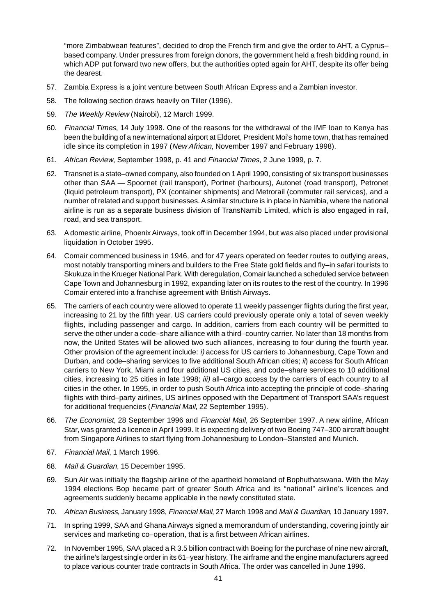"more Zimbabwean features", decided to drop the French firm and give the order to AHT, a Cyprus– based company. Under pressures from foreign donors, the government held a fresh bidding round, in which ADP put forward two new offers, but the authorities opted again for AHT, despite its offer being the dearest.

- 57. Zambia Express is a joint venture between South African Express and a Zambian investor.
- 58. The following section draws heavily on Tiller (1996).
- 59. The Weekly Review (Nairobi), 12 March 1999.
- 60. Financial Times, 14 July 1998. One of the reasons for the withdrawal of the IMF loan to Kenya has been the building of a new international airport at Eldoret, President Moi's home town, that has remained idle since its completion in 1997 (New African, November 1997 and February 1998).
- 61. African Review, September 1998, p. 41 and Financial Times, 2 June 1999, p. 7.
- 62. Transnet is a state–owned company, also founded on 1 April 1990, consisting of six transport businesses other than SAA — Spoornet (rail transport), Portnet (harbours), Autonet (road transport), Petronet (liquid petroleum transport), PX (container shipments) and Metrorail (commuter rail services), and a number of related and support businesses. A similar structure is in place in Namibia, where the national airline is run as a separate business division of TransNamib Limited, which is also engaged in rail, road, and sea transport.
- 63. A domestic airline, Phoenix Airways, took off in December 1994, but was also placed under provisional liquidation in October 1995.
- 64. Comair commenced business in 1946, and for 47 years operated on feeder routes to outlying areas, most notably transporting miners and builders to the Free State gold fields and fly–in safari tourists to Skukuza in the Krueger National Park. With deregulation, Comair launched a scheduled service between Cape Town and Johannesburg in 1992, expanding later on its routes to the rest of the country. In 1996 Comair entered into a franchise agreement with British Airways.
- 65. The carriers of each country were allowed to operate 11 weekly passenger flights during the first year, increasing to 21 by the fifth year. US carriers could previously operate only a total of seven weekly flights, including passenger and cargo. In addition, carriers from each country will be permitted to serve the other under a code–share alliance with a third–country carrier. No later than 18 months from now, the United States will be allowed two such alliances, increasing to four during the fourth year. Other provision of the agreement include: i) access for US carriers to Johannesburg, Cape Town and Durban, and code–sharing services to five additional South African cities; *ii*) access for South African carriers to New York, Miami and four additional US cities, and code–share services to 10 additional cities, increasing to 25 cities in late 1998; iii) all–cargo access by the carriers of each country to all cities in the other. In 1995, in order to push South Africa into accepting the principle of code–sharing flights with third–party airlines, US airlines opposed with the Department of Transport SAA's request for additional frequencies (Financial Mail, 22 September 1995).
- 66. The Economist, 28 September 1996 and Financial Mail, 26 September 1997. A new airline, African Star, was granted a licence in April 1999. It is expecting delivery of two Boeing 747–300 aircraft bought from Singapore Airlines to start flying from Johannesburg to London–Stansted and Munich.
- 67. Financial Mail, 1 March 1996.
- 68. Mail & Guardian, 15 December 1995.
- 69. Sun Air was initially the flagship airline of the apartheid homeland of Bophuthatswana. With the May 1994 elections Bop became part of greater South Africa and its "national" airline's licences and agreements suddenly became applicable in the newly constituted state.
- 70. African Business, January 1998, Financial Mail, 27 March 1998 and Mail & Guardian, 10 January 1997.
- 71. In spring 1999, SAA and Ghana Airways signed a memorandum of understanding, covering jointly air services and marketing co–operation, that is a first between African airlines.
- 72. In November 1995, SAA placed a R 3.5 billion contract with Boeing for the purchase of nine new aircraft, the airline's largest single order in its 61–year history. The airframe and the engine manufacturers agreed to place various counter trade contracts in South Africa. The order was cancelled in June 1996.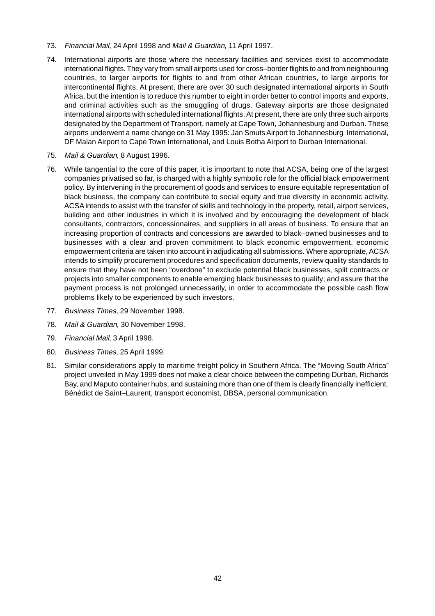- 73. Financial Mail, 24 April 1998 and Mail & Guardian, 11 April 1997.
- 74. International airports are those where the necessary facilities and services exist to accommodate international flights. They vary from small airports used for cross–border flights to and from neighbouring countries, to larger airports for flights to and from other African countries, to large airports for intercontinental flights. At present, there are over 30 such designated international airports in South Africa, but the intention is to reduce this number to eight in order better to control imports and exports, and criminal activities such as the smuggling of drugs. Gateway airports are those designated international airports with scheduled international flights. At present, there are only three such airports designated by the Department of Transport, namely at Cape Town, Johannesburg and Durban. These airports underwent a name change on 31 May 1995: Jan Smuts Airport to Johannesburg International, DF Malan Airport to Cape Town International, and Louis Botha Airport to Durban International.
- 75. Mail & Guardian, 8 August 1996.
- 76. While tangential to the core of this paper, it is important to note that ACSA, being one of the largest companies privatised so far, is charged with a highly symbolic role for the official black empowerment policy. By intervening in the procurement of goods and services to ensure equitable representation of black business, the company can contribute to social equity and true diversity in economic activity. ACSA intends to assist with the transfer of skills and technology in the property, retail, airport services, building and other industries in which it is involved and by encouraging the development of black consultants, contractors, concessionaires, and suppliers in all areas of business. To ensure that an increasing proportion of contracts and concessions are awarded to black–owned businesses and to businesses with a clear and proven commitment to black economic empowerment, economic empowerment criteria are taken into account in adjudicating all submissions. Where appropriate, ACSA intends to simplify procurement procedures and specification documents, review quality standards to ensure that they have not been "overdone" to exclude potential black businesses, split contracts or projects into smaller components to enable emerging black businesses to qualify; and assure that the payment process is not prolonged unnecessarily, in order to accommodate the possible cash flow problems likely to be experienced by such investors.
- 77. Business Times, 29 November 1998.
- 78. Mail & Guardian, 30 November 1998.
- 79. Financial Mail, 3 April 1998.
- 80. Business Times, 25 April 1999.
- 81. Similar considerations apply to maritime freight policy in Southern Africa. The "Moving South Africa" project unveiled in May 1999 does not make a clear choice between the competing Durban, Richards Bay, and Maputo container hubs, and sustaining more than one of them is clearly financially inefficient. Bénédict de Saint–Laurent, transport economist, DBSA, personal communication.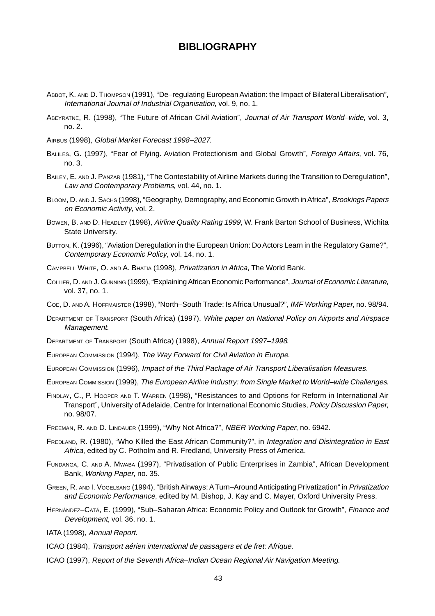### **BIBLIOGRAPHY**

- ABBOT, K. AND D. THOMPSON (1991), "De–regulating European Aviation: the Impact of Bilateral Liberalisation", International Journal of Industrial Organisation, vol. 9, no. 1.
- ABEYRATNE, R. (1998), "The Future of African Civil Aviation", Journal of Air Transport World–wide, vol. 3, no. 2.
- AIRBUS (1998), Global Market Forecast 1998–2027.
- BALILES, G. (1997), "Fear of Flying. Aviation Protectionism and Global Growth", Foreign Affairs, vol. 76, no. 3.
- BAILEY, E. AND J. PANZAR (1981), "The Contestability of Airline Markets during the Transition to Deregulation", Law and Contemporary Problems, vol. 44, no. 1.
- BLOOM, D. AND J. SACHS (1998), "Geography, Demography, and Economic Growth in Africa", Brookings Papers on Economic Activity, vol. 2.
- BOWEN, B. AND D. HEADLEY (1998), Airline Quality Rating 1999, W. Frank Barton School of Business, Wichita State University.
- BUTTON, K. (1996), "Aviation Deregulation in the European Union: Do Actors Learn in the Regulatory Game?", Contemporary Economic Policy, vol. 14, no. 1.
- CAMPBELL WHITE, O. AND A. BHATIA (1998), Privatization in Africa, The World Bank.
- COLLIER, D. AND J. GUNNING (1999), "Explaining African Economic Performance", Journal of Economic Literature, vol. 37, no. 1.
- COE, D. AND A. HOFFMAISTER (1998), "North–South Trade: Is Africa Unusual?", IMF Working Paper, no. 98/94.
- DEPARTMENT OF TRANSPORT (South Africa) (1997), White paper on National Policy on Airports and Airspace Management.
- DEPARTMENT OF TRANSPORT (South Africa) (1998), Annual Report 1997–1998.
- EUROPEAN COMMISSION (1994), The Way Forward for Civil Aviation in Europe.
- EUROPEAN COMMISSION (1996), Impact of the Third Package of Air Transport Liberalisation Measures.
- EUROPEAN COMMISSION (1999), The European Airline Industry: from Single Market to World–wide Challenges.
- FINDLAY, C., P. HOOPER AND T. WARREN (1998), "Resistances to and Options for Reform in International Air Transport", University of Adelaide, Centre for International Economic Studies, Policy Discussion Paper, no. 98/07.
- FREEMAN, R. AND D. LINDAUER (1999), "Why Not Africa?", NBER Working Paper, no. 6942.
- FREDLAND, R. (1980), "Who Killed the East African Community?", in Integration and Disintegration in East Africa, edited by C. Potholm and R. Fredland, University Press of America.
- FUNDANGA, C. AND A. MWABA (1997), "Privatisation of Public Enterprises in Zambia", African Development Bank, Working Paper, no. 35.
- GREEN, R. AND I. VOGELSANG (1994), "British Airways: A Turn–Around Anticipating Privatization" in Privatization and Economic Performance, edited by M. Bishop, J. Kay and C. Mayer, Oxford University Press.
- HERNÁNDEZ–CATÁ, E. (1999), "Sub–Saharan Africa: Economic Policy and Outlook for Growth", Finance and Development, vol. 36, no. 1.
- IATA (1998), Annual Report.
- ICAO (1984), Transport aérien international de passagers et de fret: Afrique.
- ICAO (1997), Report of the Seventh Africa–Indian Ocean Regional Air Navigation Meeting.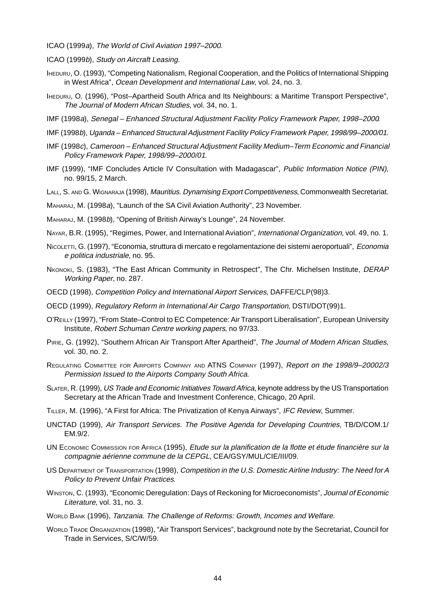ICAO (1999a), The World of Civil Aviation 1997–2000.

ICAO (1999b), Study on Aircraft Leasing.

- IHEDURU, O. (1993), "Competing Nationalism, Regional Cooperation, and the Politics of International Shipping in West Africa", Ocean Development and International Law, vol. 24, no. 3.
- IHEDURU, O. (1996), "Post–Apartheid South Africa and Its Neighbours: a Maritime Transport Perspective", The Journal of Modern African Studies, vol. 34, no. 1.
- IMF (1998a), Senegal Enhanced Structural Adjustment Facility Policy Framework Paper, 1998–2000.
- IMF (1998b), Uganda Enhanced Structural Adjustment Facility Policy Framework Paper, 1998/99–2000/01.
- IMF (1998c), Cameroon Enhanced Structural Adjustment Facility Medium–Term Economic and Financial Policy Framework Paper, 1998/99–2000/01.
- IMF (1999), "IMF Concludes Article IV Consultation with Madagascar", Public Information Notice (PIN), no. 99/15, 2 March.
- LALL, S. AND G. WIGNARAJA (1998), Mauritius. Dynamising Export Competitiveness, Commonwealth Secretariat.
- MAHARAJ, M. (1998a), "Launch of the SA Civil Aviation Authority", 23 November.
- MAHARAJ, M. (1998b), "Opening of British Airway's Lounge", 24 November.
- N<sub>AYAR</sub>, B.R. (1995), "Regimes, Power, and International Aviation", *International Organization*, vol. 49, no. 1.
- NICOLETTI, G. (1997), "Economia, struttura di mercato e regolamentazione dei sistemi aeroportuali", Economia e politica industriale, no. 95.
- NKONOKI, S. (1983), "The East African Community in Retrospect", The Chr. Michelsen Institute, DERAP Working Paper, no. 287.
- OECD (1998), Competition Policy and International Airport Services, DAFFE/CLP(98)3.
- OECD (1999), Regulatory Reform in International Air Cargo Transportation, DSTI/DOT(99)1.
- O'REILLY (1997), "From State–Control to EC Competence: Air Transport Liberalisation", European University Institute, Robert Schuman Centre working papers, no 97/33.
- PIRIE, G. (1992), "Southern African Air Transport After Apartheid", The Journal of Modern African Studies, vol. 30, no. 2.
- REGULATING COMMITTEE FOR AIRPORTS COMPANY AND ATNS COMPANY (1997), Report on the 1998/9–20002/3 Permission Issued to the Airports Company South Africa.
- SLATER, R. (1999), US Trade and Economic Initiatives Toward Africa, keynote address by the US Transportation Secretary at the African Trade and Investment Conference, Chicago, 20 April.
- TILLER, M. (1996), "A First for Africa: The Privatization of Kenya Airways", IFC Review, Summer.
- UNCTAD (1999), Air Transport Services. The Positive Agenda for Developing Countries, TB/D/COM.1/ EM.9/2.
- UN ECONOMIC COMMISSION FOR AFRICA (1995), Etude sur la planification de la flotte et étude financière sur la compagnie aérienne commune de la CEPGL, CEA/GSY/MUL/CIE/III/09.
- US DEPARTMENT OF TRANSPORTATION (1998), Competition in the U.S. Domestic Airline Industry: The Need for A Policy to Prevent Unfair Practices.
- WINSTON, C. (1993), "Economic Deregulation: Days of Reckoning for Microeconomists", Journal of Economic Literature, vol. 31, no. 3.
- WORLD BANK (1996), Tanzania. The Challenge of Reforms: Growth, Incomes and Welfare.
- WORLD TRADE ORGANIZATION (1998), "Air Transport Services", background note by the Secretariat, Council for Trade in Services, S/C/W/59.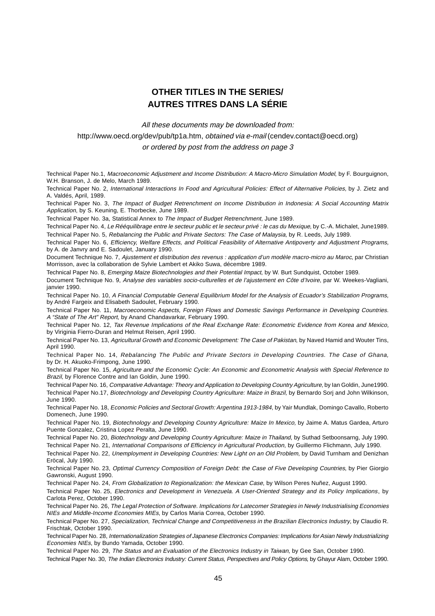### **OTHER TITLES IN THE SERIES/ AUTRES TITRES DANS LA SÉRIE**

All these documents may be downloaded from:

#### http://www.oecd.org/dev/pub/tp1a.htm, obtained via e-mail (cendev.contact@oecd.org) or ordered by post from the address on page 3

Technical Paper No.1, Macroeconomic Adjustment and Income Distribution: A Macro-Micro Simulation Model, by F. Bourguignon, W.H. Branson, J. de Melo, March 1989.

Technical Paper No. 2, International Interactions In Food and Agricultural Policies: Effect of Alternative Policies, by J. Zietz and A. Valdés, April, 1989.

Technical Paper No. 3, The Impact of Budget Retrenchment on Income Distribution in Indonesia: A Social Accounting Matrix Application, by S. Keuning, E. Thorbecke, June 1989.

Technical Paper No. 3a, Statistical Annex to The Impact of Budget Retrenchment, June 1989.

Technical Paper No. 4, Le Rééquilibrage entre le secteur public et le secteur privé : le cas du Mexique, by C.-A. Michalet, June1989. Technical Paper No. 5, Rebalancing the Public and Private Sectors: The Case of Malaysia, by R. Leeds, July 1989.

Technical Paper No. 6, Efficiency, Welfare Effects, and Political Feasibility of Alternative Antipoverty and Adjustment Programs, by A. de Janvry and E. Sadoulet, January 1990.

Document Technique No. 7, Ajustement et distribution des revenus : application d'un modèle macro-micro au Maroc, par Christian Morrisson, avec la collaboration de Sylvie Lambert et Akiko Suwa, décembre 1989.

Technical Paper No. 8, Emerging Maize Biotechnologies and their Potential Impact, by W. Burt Sundquist, October 1989.

Document Technique No. 9, Analyse des variables socio-culturelles et de l'ajustement en Côte d'Ivoire, par W. Weekes-Vagliani, janvier 1990.

Technical Paper No. 10, A Financial Computable General Equilibrium Model for the Analysis of Ecuador's Stabilization Programs, by André Fargeix and Elisabeth Sadoulet, February 1990.

Technical Paper No. 11, Macroeconomic Aspects, Foreign Flows and Domestic Savings Performance in Developing Countries. A "State of The Art" Report, by Anand Chandavarkar, February 1990.

Technical Paper No. 12, Tax Revenue Implications of the Real Exchange Rate: Econometric Evidence from Korea and Mexico, by Viriginia Fierro-Duran and Helmut Reisen, April 1990.

Technical Paper No. 13, Agricultural Growth and Economic Development: The Case of Pakistan, by Naved Hamid and Wouter Tins, April 1990.

Technical Paper No. 14, Rebalancing The Public and Private Sectors in Developing Countries. The Case of Ghana, by Dr. H. Akuoko-Frimpong, June 1990.

Technical Paper No. 15, Agriculture and the Economic Cycle: An Economic and Econometric Analysis with Special Reference to Brazil, by Florence Contre and Ian Goldin, June 1990.

Technical Paper No. 16, Comparative Advantage: Theory and Application to Developing Country Agriculture, by Ian Goldin, June1990. Technical Paper No.17, Biotechnology and Developing Country Agriculture: Maize in Brazil, by Bernardo Sorj and John Wilkinson, June 1990.

Technical Paper No. 18, Economic Policies and Sectoral Growth: Argentina 1913-1984, by Yair Mundlak, Domingo Cavallo, Roberto Domenech, June 1990.

Technical Paper No. 19, Biotechnology and Developing Country Agriculture: Maize In Mexico, by Jaime A. Matus Gardea, Arturo Puente Gonzalez, Cristina Lopez Peralta, June 1990.

Technical Paper No. 20, Biotechnology and Developing Country Agriculture: Maize in Thailand, by Suthad Setboonsarng, July 1990. Technical Paper No. 21, International Comparisons of Efficiency in Agricultural Production, by Guillermo Flichmann, July 1990.

Technical Paper No. 22, Unemployment in Developing Countries: New Light on an Old Problem, by David Turnham and Denizhan Eröcal, July 1990.

Technical Paper No. 23, Optimal Currency Composition of Foreign Debt: the Case of Five Developing Countries, by Pier Giorgio Gawronski, August 1990.

Technical Paper No. 24, From Globalization to Regionalization: the Mexican Case, by Wilson Peres Nuñez, August 1990.

Technical Paper No. 25, Electronics and Development in Venezuela. A User-Oriented Strategy and its Policy Implications, by Carlota Perez, October 1990.

Technical Paper No. 26, The Legal Protection of Software. Implications for Latecomer Strategies in Newly Industrialising Economies NIEs and Middle-Income Economies MIEs, by Carlos Maria Correa, October 1990.

Technical Paper No. 27, Specialization, Technical Change and Competitiveness in the Brazilian Electronics Industry, by Claudio R. Frischtak, October 1990.

Technical Paper No. 28, Internationalization Strategies of Japanese Electronics Companies: Implications for Asian Newly Industrializing Economies NIEs, by Bundo Yamada, October 1990.

Technical Paper No. 29, The Status and an Evaluation of the Electronics Industry in Taiwan, by Gee San, October 1990.

Technical Paper No. 30, The Indian Electronics Industry: Current Status, Perspectives and Policy Options, by Ghayur Alam, October 1990.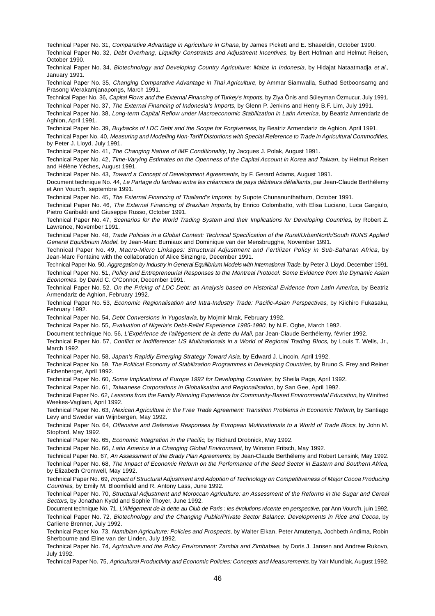Technical Paper No. 31, Comparative Advantage in Agriculture in Ghana, by James Pickett and E. Shaeeldin, October 1990. Technical Paper No. 32, Debt Overhang, Liquidity Constraints and Adjustment Incentives, by Bert Hofman and Helmut Reisen, October 1990.

Technical Paper No. 34, Biotechnology and Developing Country Agriculture: Maize in Indonesia, by Hidajat Nataatmadja et al., January 1991.

Technical Paper No. 35, Changing Comparative Advantage in Thai Agriculture, by Ammar Siamwalla, Suthad Setboonsarng and Prasong Werakarnjanapongs, March 1991.

Technical Paper No. 36, Capital Flows and the External Financing of Turkey's Imports, by Ziya Önis and Süleyman Özmucur, July 1991. Technical Paper No. 37, The External Financing of Indonesia's Imports, by Glenn P. Jenkins and Henry B.F. Lim, July 1991.

Technical Paper No. 38, Long-term Capital Reflow under Macroeconomic Stabilization in Latin America, by Beatriz Armendariz de Aghion, April 1991.

Technical Paper No. 39, Buybacks of LDC Debt and the Scope for Forgiveness, by Beatriz Armendariz de Aghion, April 1991.

Technical Paper No. 40, Measuring and Modelling Non-Tariff Distortions with Special Reference to Trade in Agricultural Commodities, by Peter J. Lloyd, July 1991.

Technical Paper No. 41, The Changing Nature of IMF Conditionality, by Jacques J. Polak, August 1991.

Technical Paper No. 42, Time-Varying Estimates on the Openness of the Capital Account in Korea and Taiwan, by Helmut Reisen and Hélène Yèches, August 1991.

Technical Paper No. 43, Toward a Concept of Development Agreements, by F. Gerard Adams, August 1991.

Document technique No. 44, Le Partage du fardeau entre les créanciers de pays débiteurs défaillants, par Jean-Claude Berthélemy et Ann Vourc'h, septembre 1991.

Technical Paper No. 45, The External Financing of Thailand's Imports, by Supote Chunanunthathum, October 1991.

Technical Paper No. 46, The External Financing of Brazilian Imports, by Enrico Colombatto, with Elisa Luciano, Luca Gargiulo, Pietro Garibaldi and Giuseppe Russo, October 1991.

Technical Paper No. 47, Scenarios for the World Trading System and their Implications for Developing Countries, by Robert Z. Lawrence, November 1991.

Technical Paper No. 48, Trade Policies in a Global Context: Technical Specification of the Rural/UrbanNorth/South RUNS Applied General Equilibrium Model, by Jean-Marc Burniaux and Dominique van der Mensbrugghe, November 1991.

Technical Paper No. 49, Macro-Micro Linkages: Structural Adjustment and Fertilizer Policy in Sub-Saharan Africa, by Jean-Marc Fontaine with the collaboration of Alice Sinzingre, December 1991.

Technical Paper No. 50, Aggregation by Industry in General Equilibrium Models with International Trade, by Peter J. Lloyd, December 1991. Technical Paper No. 51, Policy and Entrepreneurial Responses to the Montreal Protocol: Some Evidence from the Dynamic Asian Economies, by David C. O'Connor, December 1991.

Technical Paper No. 52, On the Pricing of LDC Debt: an Analysis based on Historical Evidence from Latin America, by Beatriz Armendariz de Aghion, February 1992.

Technical Paper No. 53, Economic Regionalisation and Intra-Industry Trade: Pacific-Asian Perspectives, by Kiichiro Fukasaku, February 1992.

Technical Paper No. 54, Debt Conversions in Yugoslavia, by Mojmir Mrak, February 1992.

Technical Paper No. 55, Evaluation of Nigeria's Debt-Relief Experience 1985-1990, by N.E. Ogbe, March 1992.

Document technique No. 56, L'Expérience de l'allégement de la dette du Mali, par Jean-Claude Berthélemy, février 1992. Technical Paper No. 57, Conflict or Indifference: US Multinationals in a World of Regional Trading Blocs, by Louis T. Wells, Jr., March 1992.

Technical Paper No. 58, Japan's Rapidly Emerging Strategy Toward Asia, by Edward J. Lincoln, April 1992.

Technical Paper No. 59, The Political Economy of Stabilization Programmes in Developing Countries, by Bruno S. Frey and Reiner Eichenberger, April 1992.

Technical Paper No. 60, Some Implications of Europe 1992 for Developing Countries, by Sheila Page, April 1992.

Technical Paper No. 61, Taiwanese Corporations in Globalisation and Regionalisation, by San Gee, April 1992.

Technical Paper No. 62, Lessons from the Family Planning Experience for Community-Based Environmental Education, by Winifred Weekes-Vagliani, April 1992.

Technical Paper No. 63, Mexican Agriculture in the Free Trade Agreement: Transition Problems in Economic Reform, by Santiago Levy and Sweder van Wijnbergen, May 1992.

Technical Paper No. 64, Offensive and Defensive Responses by European Multinationals to a World of Trade Blocs, by John M. Stopford, May 1992.

Technical Paper No. 65, Economic Integration in the Pacific, by Richard Drobnick, May 1992.

Technical Paper No. 66, Latin America in a Changing Global Environment, by Winston Fritsch, May 1992.

Technical Paper No. 67, An Assessment of the Brady Plan Agreements, by Jean-Claude Berthélemy and Robert Lensink, May 1992. Technical Paper No. 68, The Impact of Economic Reform on the Performance of the Seed Sector in Eastern and Southern Africa, by Elizabeth Cromwell, May 1992.

Technical Paper No. 69, Impact of Structural Adjustment and Adoption of Technology on Competitiveness of Major Cocoa Producing Countries, by Emily M. Bloomfield and R. Antony Lass, June 1992.

Technical Paper No. 70, Structural Adjustment and Moroccan Agriculture: an Assessment of the Reforms in the Sugar and Cereal Sectors, by Jonathan Kydd and Sophie Thoyer, June 1992.

Document technique No. 71, L'Allégement de la dette au Club de Paris : les évolutions récente en perspective, par Ann Vourc'h, juin 1992. Technical Paper No. 72, Biotechnology and the Changing Public/Private Sector Balance: Developments in Rice and Cocoa, by Carliene Brenner, July 1992.

Technical Paper No. 73, Namibian Agriculture: Policies and Prospects, by Walter Elkan, Peter Amutenya, Jochbeth Andima, Robin Sherbourne and Eline van der Linden, July 1992.

Technical Paper No. 74, Agriculture and the Policy Environment: Zambia and Zimbabwe, by Doris J. Jansen and Andrew Rukovo, July 1992.

Technical Paper No. 75, Agricultural Productivity and Economic Policies: Concepts and Measurements, by Yair Mundlak, August 1992.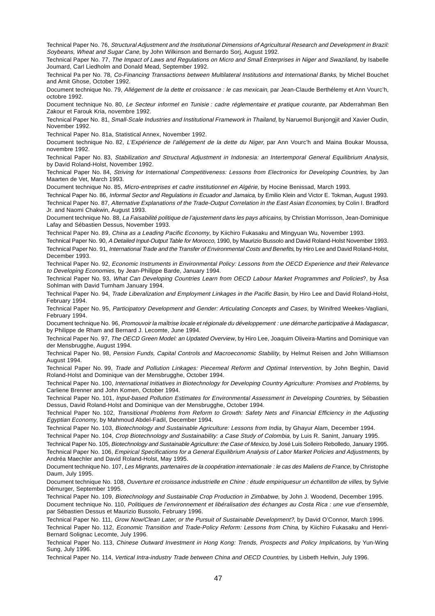Technical Paper No. 76, Structural Adjustment and the Institutional Dimensions of Agricultural Research and Development in Brazil: Soybeans, Wheat and Sugar Cane, by John Wilkinson and Bernardo Sorj, August 1992.

Technical Paper No. 77, The Impact of Laws and Regulations on Micro and Small Enterprises in Niger and Swaziland, by Isabelle Joumard, Carl Liedholm and Donald Mead, September 1992.

Technical Pa per No. 78, Co-Financing Transactions between Multilateral Institutions and International Banks, by Michel Bouchet and Amit Ghose, October 1992.

Document technique No. 79, Allégement de la dette et croissance : le cas mexicain, par Jean-Claude Berthélemy et Ann Vourc'h, octobre 1992.

Document technique No. 80, Le Secteur informel en Tunisie : cadre réglementaire et pratique courante, par Abderrahman Ben Zakour et Farouk Kria, novembre 1992.

Technical Paper No. 81, Small-Scale Industries and Institutional Framework in Thailand, by Naruemol Bunjongjit and Xavier Oudin, November 1992.

Technical Paper No. 81a, Statistical Annex, November 1992.

Document technique No. 82, L'Expérience de l'allégement de la dette du Niger, par Ann Vourc'h and Maina Boukar Moussa, novembre 1992.

Technical Paper No. 83, Stabilization and Structural Adjustment in Indonesia: an Intertemporal General Equilibrium Analysis, by David Roland-Holst, November 1992.

Technical Paper No. 84, Striving for International Competitiveness: Lessons from Electronics for Developing Countries, by Jan Maarten de Vet, March 1993.

Document technique No. 85, Micro-entreprises et cadre institutionnel en Algérie, by Hocine Benissad, March 1993.

Technical Paper No. 86, Informal Sector and Regulations in Ecuador and Jamaica, by Emilio Klein and Victor E. Tokman, August 1993. Technical Paper No. 87, Alternative Explanations of the Trade-Output Correlation in the East Asian Economies, by Colin I. Bradford Jr. and Naomi Chakwin, August 1993.

Document technique No. 88, La Faisabilité politique de l'ajustement dans les pays africains, by Christian Morrisson, Jean-Dominique Lafay and Sébastien Dessus, November 1993.

Technical Paper No. 89, China as a Leading Pacific Economy, by Kiichiro Fukasaku and Mingyuan Wu, November 1993.

Technical Paper No. 90, A Detailed Input-Output Table for Morocco, 1990, by Maurizio Bussolo and David Roland-Holst November 1993. Technical Paper No. 91, International Trade and the Transfer of Environmental Costs and Benefits, by Hiro Lee and David Roland-Holst, December 1993.

Technical Paper No. 92, Economic Instruments in Environmental Policy: Lessons from the OECD Experience and their Relevance to Developing Economies, by Jean-Philippe Barde, January 1994.

Technical Paper No. 93, What Can Developing Countries Learn from OECD Labour Market Programmes and Policies?, by Åsa Sohlman with David Turnham January 1994.

Technical Paper No. 94, Trade Liberalization and Employment Linkages in the Pacific Basin, by Hiro Lee and David Roland-Holst, February 1994.

Technical Paper No. 95, Participatory Development and Gender: Articulating Concepts and Cases, by Winifred Weekes-Vagliani, February 1994.

Document technique No. 96, Promouvoir la maîtrise locale et régionale du développement : une démarche participative à Madagascar, by Philippe de Rham and Bernard J. Lecomte, June 1994.

Technical Paper No. 97, The OECD Green Model: an Updated Overview, by Hiro Lee, Joaquim Oliveira-Martins and Dominique van der Mensbrugghe, August 1994.

Technical Paper No. 98, Pension Funds, Capital Controls and Macroeconomic Stability, by Helmut Reisen and John Williamson August 1994.

Technical Paper No. 99, Trade and Pollution Linkages: Piecemeal Reform and Optimal Intervention, by John Beghin, David Roland-Holst and Dominique van der Mensbrugghe, October 1994.

Technical Paper No. 100, International Initiatives in Biotechnology for Developing Country Agriculture: Promises and Problems, by Carliene Brenner and John Komen, October 1994.

Technical Paper No. 101, Input-based Pollution Estimates for Environmental Assessment in Developing Countries, by Sébastien Dessus, David Roland-Holst and Dominique van der Mensbrugghe, October 1994.

Technical Paper No. 102, Transitional Problems from Reform to Growth: Safety Nets and Financial Efficiency in the Adjusting Egyptian Economy, by Mahmoud Abdel-Fadil, December 1994.

Technical Paper No. 103, Biotechnology and Sustainable Agriculture: Lessons from India, by Ghayur Alam, December 1994.

Technical Paper No. 104, Crop Biotechnology and Sustainability: a Case Study of Colombia, by Luis R. Sanint, January 1995.

Technical Paper No. 105, Biotechnology and Sustainable Agriculture: the Case of Mexico, by José Luis Solleiro Rebolledo, January 1995. Technical Paper No. 106, Empirical Specifications for a General Equilibrium Analysis of Labor Market Policies and Adjustments, by Andréa Maechler and David Roland-Holst, May 1995.

Document technique No. 107, Les Migrants, partenaires de la coopération internationale : le cas des Maliens de France, by Christophe Daum, July 1995.

Document technique No. 108, Ouverture et croissance industrielle en Chine : étude empiriquesur un échantillon de villes, by Sylvie Démurger, September 1995.

Technical Paper No. 109, Biotechnology and Sustainable Crop Production in Zimbabwe, by John J. Woodend, December 1995. Document technique No. 110, Politiques de l'environnement et libéralisation des échanges au Costa Rica : une vue d'ensemble,

par Sébastien Dessus et Maurizio Bussolo, February 1996.

Technical Paper No. 111, Grow Now/Clean Later, or the Pursuit of Sustainable Development?, by David O'Connor, March 1996. Technical Paper No. 112, Economic Transition and Trade-Policy Reform: Lessons from China, by Kiichiro Fukasaku and Henri-

Bernard Solignac Lecomte, July 1996. Technical Paper No. 113, Chinese Outward Investment in Hong Kong: Trends, Prospects and Policy Implications, by Yun-Wing

Sung, July 1996.

Technical Paper No. 114, Vertical Intra-industry Trade between China and OECD Countries, by Lisbeth Hellvin, July 1996.